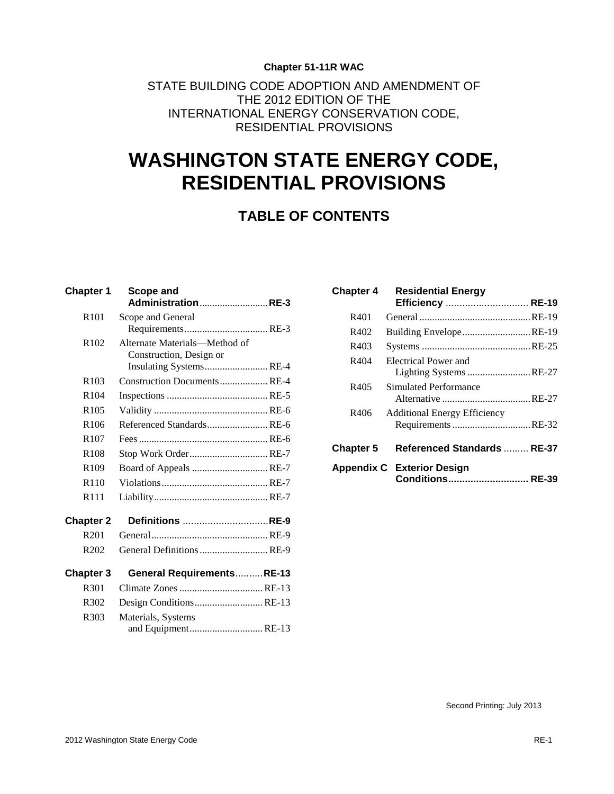# **Chapter 51-11R WAC**

# STATE BUILDING CODE ADOPTION AND AMENDMENT OF THE 2012 EDITION OF THE INTERNATIONAL ENERGY CONSERVATION CODE, RESIDENTIAL PROVISIONS

# **WASHINGTON STATE ENERGY CODE, RESIDENTIAL PROVISIONS**

# **TABLE OF CONTENTS**

| <b>Chapter 1</b> | Scope and<br>AdministrationRE-3                    |
|------------------|----------------------------------------------------|
| R <sub>101</sub> | Scope and General                                  |
|                  |                                                    |
| R <sub>102</sub> | Alternate Materials—Method of                      |
|                  | Construction, Design or<br>Insulating Systems RE-4 |
| R <sub>103</sub> | Construction DocumentsRE-4                         |
| R <sub>104</sub> |                                                    |
| R <sub>105</sub> |                                                    |
| R <sub>106</sub> | Referenced StandardsRE-6                           |
| R <sub>107</sub> |                                                    |
| R <sub>108</sub> | Stop Work OrderRE-7                                |
| R <sub>109</sub> | Board of Appeals  RE-7                             |
| R110             |                                                    |
| R <sub>111</sub> |                                                    |
| <b>Chapter 2</b> | Definitions RE-9                                   |
| R <sub>201</sub> |                                                    |
| R <sub>202</sub> | General Definitions  RE-9                          |
| <b>Chapter 3</b> | General RequirementsRE-13                          |
| R301             |                                                    |
| R302             | Design Conditions RE-13                            |
| R303             | Materials, Systems<br>and EquipmentRE-13           |

| <b>Chapter 4</b> | <b>Residential Energy</b><br>Efficiency  RE-19            |  |
|------------------|-----------------------------------------------------------|--|
| R401             |                                                           |  |
| R402             | Building EnvelopeRE-19                                    |  |
| R403             |                                                           |  |
| R404             | Electrical Power and<br>Lighting Systems RE-27            |  |
| R405             | Simulated Performance<br>Alternative RE-27                |  |
| R406             | <b>Additional Energy Efficiency</b><br>Requirements RE-32 |  |
| <b>Chapter 5</b> | Referenced Standards  RE-37                               |  |
|                  | <b>Appendix C Exterior Design</b><br>Conditions RE-39     |  |

Second Printing: July 2013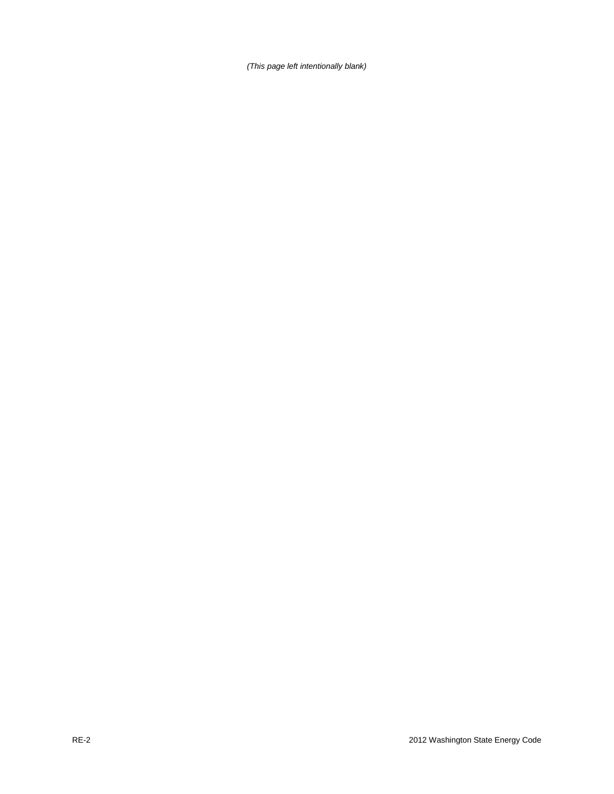*(This page left intentionally blank)*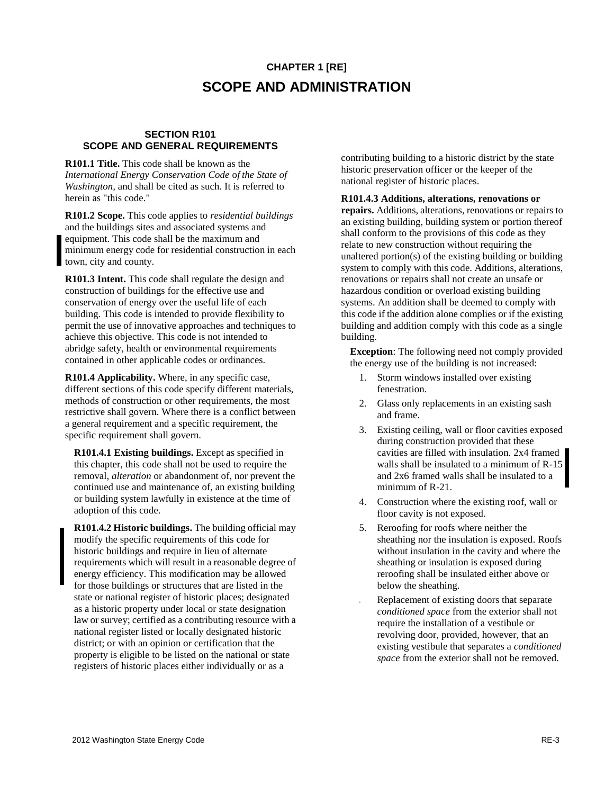# **CHAPTER 1 [RE] SCOPE AND ADMINISTRATION**

# **SECTION R101 SCOPE AND GENERAL REQUIREMENTS**

**R101.1 Title.** This code shall be known as the *International Energy Conservation Code* o*f the State of Washington,* and shall be cited as such. It is referred to herein as "this code."

**R101.2 Scope.** This code applies to *residential buildings* and the buildings sites and associated systems and equipment. This code shall be the maximum and minimum energy code for residential construction in each town, city and county.

**R101.3 Intent.** This code shall regulate the design and construction of buildings for the effective use and conservation of energy over the useful life of each building. This code is intended to provide flexibility to permit the use of innovative approaches and techniques to achieve this objective. This code is not intended to abridge safety, health or environmental requirements contained in other applicable codes or ordinances.

**R101.4 Applicability.** Where, in any specific case, different sections of this code specify different materials, methods of construction or other requirements, the most restrictive shall govern. Where there is a conflict between a general requirement and a specific requirement, the specific requirement shall govern.

**R101.4.1 Existing buildings.** Except as specified in this chapter, this code shall not be used to require the removal, *alteration* or abandonment of, nor prevent the continued use and maintenance of, an existing building or building system lawfully in existence at the time of adoption of this code.

**R101.4.2 Historic buildings.** The building official may modify the specific requirements of this code for historic buildings and require in lieu of alternate requirements which will result in a reasonable degree of energy efficiency. This modification may be allowed for those buildings or structures that are listed in the state or national register of historic places; designated as a historic property under local or state designation law or survey; certified as a contributing resource with a national register listed or locally designated historic district; or with an opinion or certification that the property is eligible to be listed on the national or state registers of historic places either individually or as a

contributing building to a historic district by the state historic preservation officer or the keeper of the national register of historic places.

### **R101.4.3 Additions, alterations, renovations or**

**repairs.** Additions, alterations, renovations or repairs to an existing building, building system or portion thereof shall conform to the provisions of this code as they relate to new construction without requiring the unaltered portion(s) of the existing building or building system to comply with this code. Additions, alterations, renovations or repairs shall not create an unsafe or hazardous condition or overload existing building systems. An addition shall be deemed to comply with this code if the addition alone complies or if the existing building and addition comply with this code as a single building.

**Exception**: The following need not comply provided the energy use of the building is not increased:

- 1. Storm windows installed over existing fenestration.
- 2. Glass only replacements in an existing sash and frame.
- 3. Existing ceiling, wall or floor cavities exposed during construction provided that these cavities are filled with insulation. 2x4 framed walls shall be insulated to a minimum of R-15 and 2x6 framed walls shall be insulated to a minimum of R-21.
- 4. Construction where the existing roof, wall or floor cavity is not exposed.
- 5. Reroofing for roofs where neither the sheathing nor the insulation is exposed. Roofs without insulation in the cavity and where the sheathing or insulation is exposed during reroofing shall be insulated either above or below the sheathing.
- Replacement of existing doors that separate *conditioned space* from the exterior shall not require the installation of a vestibule or revolving door, provided, however, that an existing vestibule that separates a *conditioned space* from the exterior shall not be removed.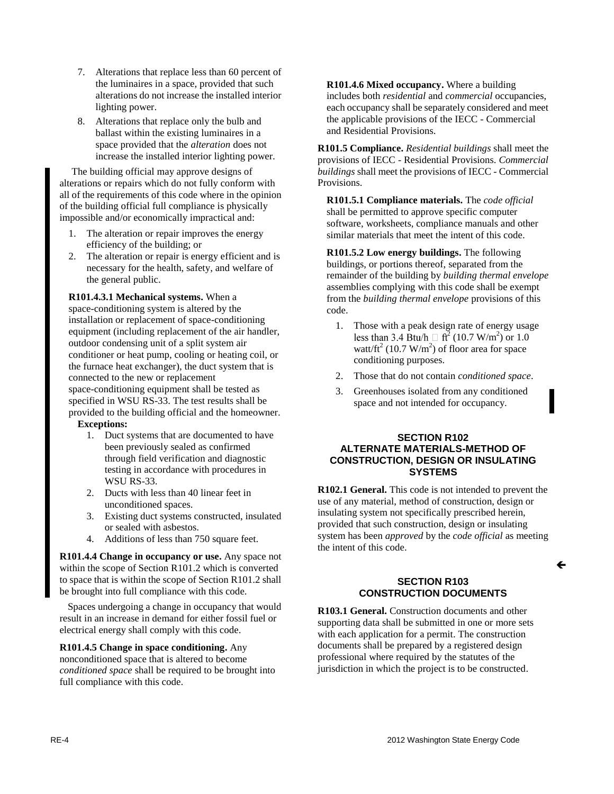- 7. Alterations that replace less than 60 percent of the luminaires in a space, provided that such alterations do not increase the installed interior lighting power.
- 8. Alterations that replace only the bulb and ballast within the existing luminaires in a space provided that the *alteration* does not increase the installed interior lighting power.

 The building official may approve designs of alterations or repairs which do not fully conform with all of the requirements of this code where in the opinion of the building official full compliance is physically impossible and/or economically impractical and:

- 1. The alteration or repair improves the energy efficiency of the building; or
- 2. The alteration or repair is energy efficient and is necessary for the health, safety, and welfare of the general public.

**R101.4.3.1 Mechanical systems.** When a space-conditioning system is altered by the installation or replacement of space-conditioning equipment (including replacement of the air handler, outdoor condensing unit of a split system air conditioner or heat pump, cooling or heating coil, or the furnace heat exchanger), the duct system that is connected to the new or replacement space-conditioning equipment shall be tested as specified in WSU RS-33. The test results shall be provided to the building official and the homeowner. **Exceptions:**

- 1. Duct systems that are documented to have been previously sealed as confirmed through field verification and diagnostic testing in accordance with procedures in WSU RS-33.
- 2. Ducts with less than 40 linear feet in unconditioned spaces.
- 3. Existing duct systems constructed, insulated or sealed with asbestos.
- 4. Additions of less than 750 square feet.

**R101.4.4 Change in occupancy or use.** Any space not within the scope of Section R101.2 which is converted to space that is within the scope of Section R101.2 shall be brought into full compliance with this code.

 Spaces undergoing a change in occupancy that would result in an increase in demand for either fossil fuel or electrical energy shall comply with this code.

**R101.4.5 Change in space conditioning.** Any nonconditioned space that is altered to become *conditioned space* shall be required to be brought into full compliance with this code.

**R101.4.6 Mixed occupancy.** Where a building includes both *residential* and *commercial* occupancies, each occupancy shall be separately considered and meet the applicable provisions of the IECC - Commercial and Residential Provisions.

**R101.5 Compliance.** *Residential buildings* shall meet the provisions of IECC - Residential Provisions. *Commercial buildings* shall meet the provisions of IECC - Commercial Provisions.

**R101.5.1 Compliance materials.** The *code official* shall be permitted to approve specific computer software, worksheets, compliance manuals and other similar materials that meet the intent of this code.

**R101.5.2 Low energy buildings.** The following buildings, or portions thereof, separated from the remainder of the building by *building thermal envelope* assemblies complying with this code shall be exempt from the *building thermal envelope* provisions of this code.

- 1. Those with a peak design rate of energy usage  $^{2}$  (10.7 W/m<sup>2</sup>) or 1.0 watt/ft<sup>2</sup> (10.7 W/m<sup>2</sup>) of floor area for space conditioning purposes.
- 2. Those that do not contain *conditioned space*.
- 3. Greenhouses isolated from any conditioned space and not intended for occupancy.

# **SECTION R102 ALTERNATE MATERIALS-METHOD OF CONSTRUCTION, DESIGN OR INSULATING SYSTEMS**

**R102.1 General.** This code is not intended to prevent the use of any material, method of construction, design or insulating system not specifically prescribed herein, provided that such construction, design or insulating system has been *approved* by the *code official* as meeting the intent of this code.

# $\leftarrow$

# **SECTION R103 CONSTRUCTION DOCUMENTS**

**R103.1 General.** Construction documents and other supporting data shall be submitted in one or more sets with each application for a permit. The construction documents shall be prepared by a registered design professional where required by the statutes of the jurisdiction in which the project is to be constructed.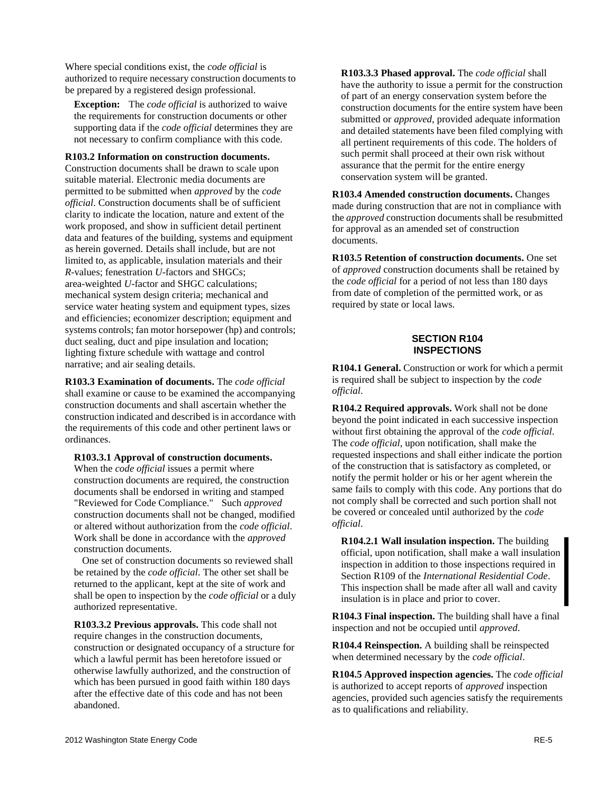Where special conditions exist, the *code official* is authorized to require necessary construction documents to be prepared by a registered design professional.

**Exception:** The *code official* is authorized to waive the requirements for construction documents or other supporting data if the *code official* determines they are not necessary to confirm compliance with this code.

#### **R103.2 Information on construction documents.**

Construction documents shall be drawn to scale upon suitable material. Electronic media documents are permitted to be submitted when *approved* by the *code official*. Construction documents shall be of sufficient clarity to indicate the location, nature and extent of the work proposed, and show in sufficient detail pertinent data and features of the building, systems and equipment as herein governed. Details shall include, but are not limited to, as applicable, insulation materials and their *R*-values; fenestration *U*-factors and SHGCs; area-weighted *U*-factor and SHGC calculations; mechanical system design criteria; mechanical and service water heating system and equipment types, sizes and efficiencies; economizer description; equipment and systems controls; fan motor horsepower (hp) and controls; duct sealing, duct and pipe insulation and location; lighting fixture schedule with wattage and control narrative; and air sealing details.

**R103.3 Examination of documents.** The *code official* shall examine or cause to be examined the accompanying construction documents and shall ascertain whether the construction indicated and described is in accordance with the requirements of this code and other pertinent laws or ordinances.

#### **R103.3.1 Approval of construction documents.**

When the *code official* issues a permit where construction documents are required, the construction documents shall be endorsed in writing and stamped "Reviewed for Code Compliance." Such *approved* construction documents shall not be changed, modified or altered without authorization from the *code official*. Work shall be done in accordance with the *approved* construction documents.

 One set of construction documents so reviewed shall be retained by the *code official*. The other set shall be returned to the applicant, kept at the site of work and shall be open to inspection by the *code official* or a duly authorized representative.

**R103.3.2 Previous approvals.** This code shall not require changes in the construction documents, construction or designated occupancy of a structure for which a lawful permit has been heretofore issued or otherwise lawfully authorized, and the construction of which has been pursued in good faith within 180 days after the effective date of this code and has not been abandoned.

**R103.3.3 Phased approval.** The *code official* shall have the authority to issue a permit for the construction of part of an energy conservation system before the construction documents for the entire system have been submitted or *approved*, provided adequate information and detailed statements have been filed complying with all pertinent requirements of this code. The holders of such permit shall proceed at their own risk without assurance that the permit for the entire energy conservation system will be granted.

**R103.4 Amended construction documents.** Changes made during construction that are not in compliance with the *approved* construction documents shall be resubmitted for approval as an amended set of construction documents.

**R103.5 Retention of construction documents.** One set of *approved* construction documents shall be retained by the *code official* for a period of not less than 180 days from date of completion of the permitted work, or as required by state or local laws.

#### **SECTION R104 INSPECTIONS**

**R104.1 General.** Construction or work for which a permit is required shall be subject to inspection by the *code official*.

**R104.2 Required approvals.** Work shall not be done beyond the point indicated in each successive inspection without first obtaining the approval of the *code official*. The *code official*, upon notification, shall make the requested inspections and shall either indicate the portion of the construction that is satisfactory as completed, or notify the permit holder or his or her agent wherein the same fails to comply with this code. Any portions that do not comply shall be corrected and such portion shall not be covered or concealed until authorized by the *code official*.

**R104.2.1 Wall insulation inspection.** The building official, upon notification, shall make a wall insulation inspection in addition to those inspections required in Section R109 of the *International Residential Code*. This inspection shall be made after all wall and cavity insulation is in place and prior to cover.

**R104.3 Final inspection.** The building shall have a final inspection and not be occupied until *approved*.

**R104.4 Reinspection.** A building shall be reinspected when determined necessary by the *code official*.

**R104.5 Approved inspection agencies.** The *code official* is authorized to accept reports of *approved* inspection agencies, provided such agencies satisfy the requirements as to qualifications and reliability.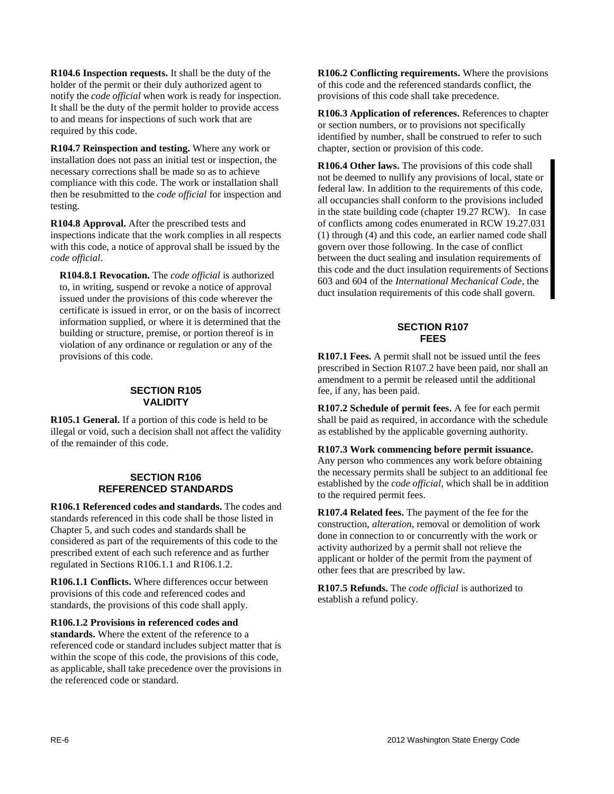**R104.6 Inspection requests.** It shall be the duty of the holder of the permit or their duly authorized agent to notify the *code official* when work is ready for inspection. It shall be the duty of the permit holder to provide access to and means for inspections of such work that are required by this code.

**R104.7 Reinspection and testing.** Where any work or installation does not pass an initial test or inspection, the necessary corrections shall be made so as to achieve compliance with this code. The work or installation shall then be resubmitted to the *code official* for inspection and testing.

**R104.8 Approval.** After the prescribed tests and inspections indicate that the work complies in all respects with this code, a notice of approval shall be issued by the *code official*.

**R104.8.1 Revocation.** The *code official* is authorized to, in writing, suspend or revoke a notice of approval issued under the provisions of this code wherever the certificate is issued in error, or on the basis of incorrect information supplied, or where it is determined that the building or structure, premise, or portion thereof is in violation of any ordinance or regulation or any of the provisions of this code.

# **SECTION R105 VALIDITY**

**R105.1 General.** If a portion of this code is held to be illegal or void, such a decision shall not affect the validity of the remainder of this code.

# **SECTION R106 REFERENCED STANDARDS**

**R106.1 Referenced codes and standards.** The codes and standards referenced in this code shall be those listed in Chapter 5, and such codes and standards shall be considered as part of the requirements of this code to the prescribed extent of each such reference and as further regulated in Sections R106.1.1 and R106.1.2.

**R106.1.1 Conflicts.** Where differences occur between provisions of this code and referenced codes and standards, the provisions of this code shall apply.

**R106.1.2 Provisions in referenced codes and** 

**standards.** Where the extent of the reference to a referenced code or standard includes subject matter that is within the scope of this code, the provisions of this code, as applicable, shall take precedence over the provisions in the referenced code or standard.

**R106.2 Conflicting requirements.** Where the provisions of this code and the referenced standards conflict, the provisions of this code shall take precedence.

**R106.3 Application of references.** References to chapter or section numbers, or to provisions not specifically identified by number, shall be construed to refer to such chapter, section or provision of this code.

**R106.4 Other laws.** The provisions of this code shall not be deemed to nullify any provisions of local, state or federal law. In addition to the requirements of this code, all occupancies shall conform to the provisions included in the state building code (chapter 19.27 RCW). In case of conflicts among codes enumerated in RCW 19.27.031 (1) through (4) and this code, an earlier named code shall govern over those following. In the case of conflict between the duct sealing and insulation requirements of this code and the duct insulation requirements of Sections 603 and 604 of the *International Mechanical Code*, the duct insulation requirements of this code shall govern.

# **SECTION R107 FEES**

**R107.1 Fees.** A permit shall not be issued until the fees prescribed in Section R107.2 have been paid, nor shall an amendment to a permit be released until the additional fee, if any, has been paid.

**R107.2 Schedule of permit fees.** A fee for each permit shall be paid as required, in accordance with the schedule as established by the applicable governing authority.

**R107.3 Work commencing before permit issuance.**  Any person who commences any work before obtaining the necessary permits shall be subject to an additional fee established by the *code official*, which shall be in addition to the required permit fees.

**R107.4 Related fees.** The payment of the fee for the construction, *alteration*, removal or demolition of work done in connection to or concurrently with the work or activity authorized by a permit shall not relieve the applicant or holder of the permit from the payment of other fees that are prescribed by law.

**R107.5 Refunds.** The *code official* is authorized to establish a refund policy.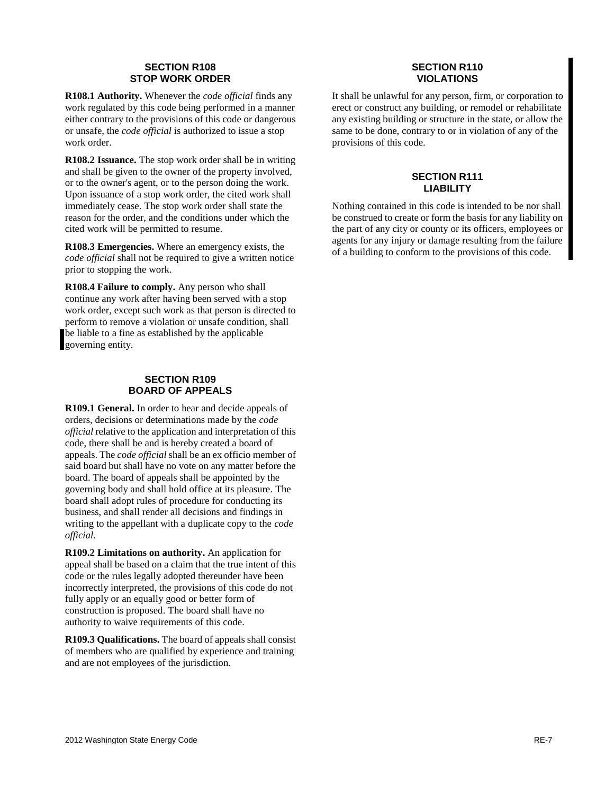# **SECTION R108 STOP WORK ORDER**

**R108.1 Authority.** Whenever the *code official* finds any work regulated by this code being performed in a manner either contrary to the provisions of this code or dangerous or unsafe, the *code official* is authorized to issue a stop work order.

**R108.2 Issuance.** The stop work order shall be in writing and shall be given to the owner of the property involved, or to the owner's agent, or to the person doing the work. Upon issuance of a stop work order, the cited work shall immediately cease. The stop work order shall state the reason for the order, and the conditions under which the cited work will be permitted to resume.

**R108.3 Emergencies.** Where an emergency exists, the *code official* shall not be required to give a written notice prior to stopping the work.

**R108.4 Failure to comply.** Any person who shall continue any work after having been served with a stop work order, except such work as that person is directed to perform to remove a violation or unsafe condition, shall be liable to a fine as established by the applicable governing entity.

#### **SECTION R109 BOARD OF APPEALS**

**R109.1 General.** In order to hear and decide appeals of orders, decisions or determinations made by the *code official* relative to the application and interpretation of this code, there shall be and is hereby created a board of appeals. The *code official* shall be an ex officio member of said board but shall have no vote on any matter before the board. The board of appeals shall be appointed by the governing body and shall hold office at its pleasure. The board shall adopt rules of procedure for conducting its business, and shall render all decisions and findings in writing to the appellant with a duplicate copy to the *code official*.

**R109.2 Limitations on authority.** An application for appeal shall be based on a claim that the true intent of this code or the rules legally adopted thereunder have been incorrectly interpreted, the provisions of this code do not fully apply or an equally good or better form of construction is proposed. The board shall have no authority to waive requirements of this code.

**R109.3 Qualifications.** The board of appeals shall consist of members who are qualified by experience and training and are not employees of the jurisdiction.

# **SECTION R110 VIOLATIONS**

It shall be unlawful for any person, firm, or corporation to erect or construct any building, or remodel or rehabilitate any existing building or structure in the state, or allow the same to be done, contrary to or in violation of any of the provisions of this code.

# **SECTION R111 LIABILITY**

Nothing contained in this code is intended to be nor shall be construed to create or form the basis for any liability on the part of any city or county or its officers, employees or agents for any injury or damage resulting from the failure of a building to conform to the provisions of this code.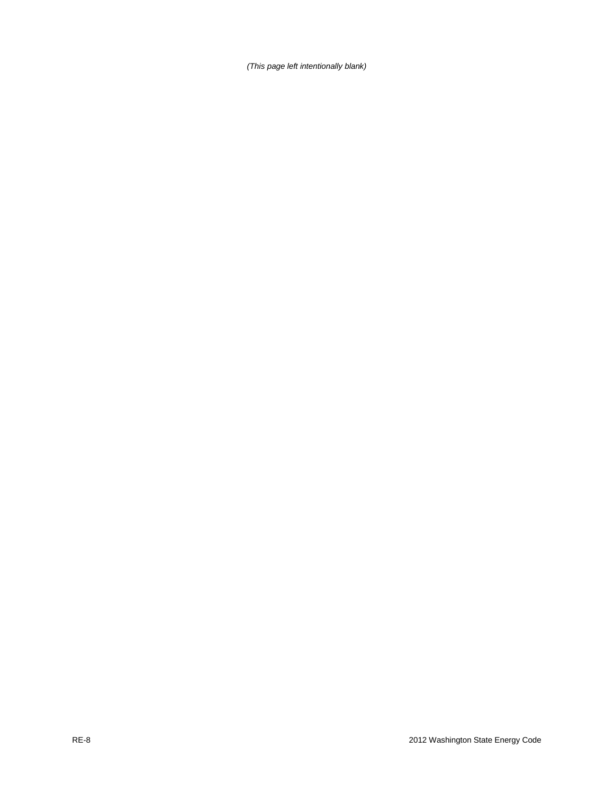*(This page left intentionally blank)*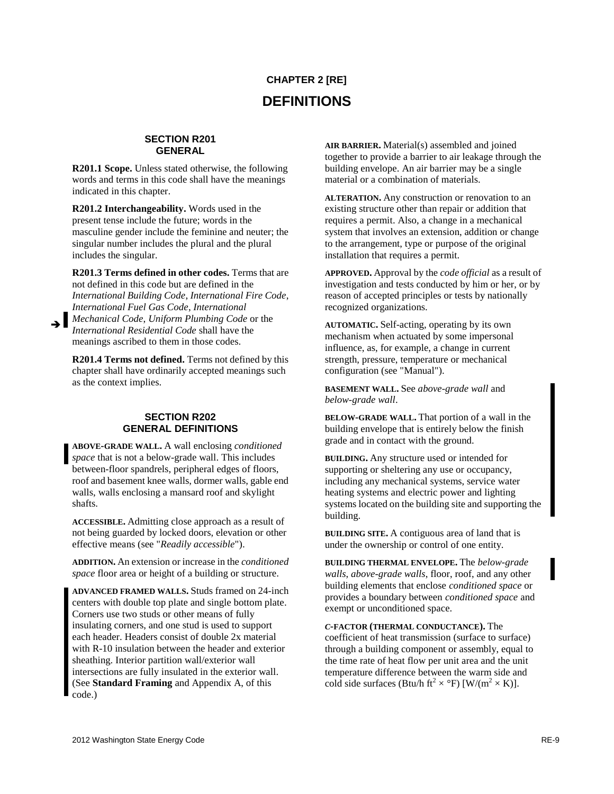# **CHAPTER 2 [RE] DEFINITIONS**

#### **SECTION R201 GENERAL**

**R201.1 Scope.** Unless stated otherwise, the following words and terms in this code shall have the meanings indicated in this chapter.

**R201.2 Interchangeability.** Words used in the present tense include the future; words in the masculine gender include the feminine and neuter; the singular number includes the plural and the plural includes the singular.

**R201.3 Terms defined in other codes.** Terms that are not defined in this code but are defined in the *International Building Code*, *International Fire Code*, *International Fuel Gas Code*, *International*  ◆ *Mechanical Code*, *Uniform Plumbing Code* or the *International Besidential Code* shall have the *International Residential Code* shall have the meanings ascribed to them in those codes.

**R201.4 Terms not defined.** Terms not defined by this chapter shall have ordinarily accepted meanings such as the context implies.

#### **SECTION R202 GENERAL DEFINITIONS**

**ABOVE-GRADE WALL.** A wall enclosing *conditioned space* that is not a below-grade wall. This includes between-floor spandrels, peripheral edges of floors, roof and basement knee walls, dormer walls, gable end walls, walls enclosing a mansard roof and skylight shafts.

**ACCESSIBLE.** Admitting close approach as a result of not being guarded by locked doors, elevation or other effective means (see "*Readily accessible*").

**ADDITION.** An extension or increase in the *conditioned space* floor area or height of a building or structure.

**ADVANCED FRAMED WALLS.** Studs framed on 24-inch centers with double top plate and single bottom plate. Corners use two studs or other means of fully insulating corners, and one stud is used to support each header. Headers consist of double 2x material with R-10 insulation between the header and exterior sheathing. Interior partition wall/exterior wall intersections are fully insulated in the exterior wall. (See **Standard Framing** and Appendix A, of this code.)

**AIR BARRIER.** Material(s) assembled and joined together to provide a barrier to air leakage through the building envelope. An air barrier may be a single material or a combination of materials.

**ALTERATION.** Any construction or renovation to an existing structure other than repair or addition that requires a permit. Also, a change in a mechanical system that involves an extension, addition or change to the arrangement, type or purpose of the original installation that requires a permit.

**APPROVED.** Approval by the *code official* as a result of investigation and tests conducted by him or her, or by reason of accepted principles or tests by nationally recognized organizations.

**AUTOMATIC.** Self-acting, operating by its own mechanism when actuated by some impersonal influence, as, for example, a change in current strength, pressure, temperature or mechanical configuration (see "Manual").

**BASEMENT WALL.** See *above-grade wall* and *below-grade wall*.

**BELOW-GRADE WALL.** That portion of a wall in the building envelope that is entirely below the finish grade and in contact with the ground.

**BUILDING.** Any structure used or intended for supporting or sheltering any use or occupancy, including any mechanical systems, service water heating systems and electric power and lighting systems located on the building site and supporting the building.

**BUILDING SITE.** A contiguous area of land that is under the ownership or control of one entity.

**BUILDING THERMAL ENVELOPE.** The *below-grade walls*, *above-grade walls*, floor, roof, and any other building elements that enclose *conditioned space* or provides a boundary between *conditioned space* and exempt or unconditioned space.

*C***-FACTOR (THERMAL CONDUCTANCE).** The coefficient of heat transmission (surface to surface) through a building component or assembly, equal to the time rate of heat flow per unit area and the unit temperature difference between the warm side and cold side surfaces (Btu/h ft<sup>2</sup> × °F) [W/(m<sup>2</sup> × K)].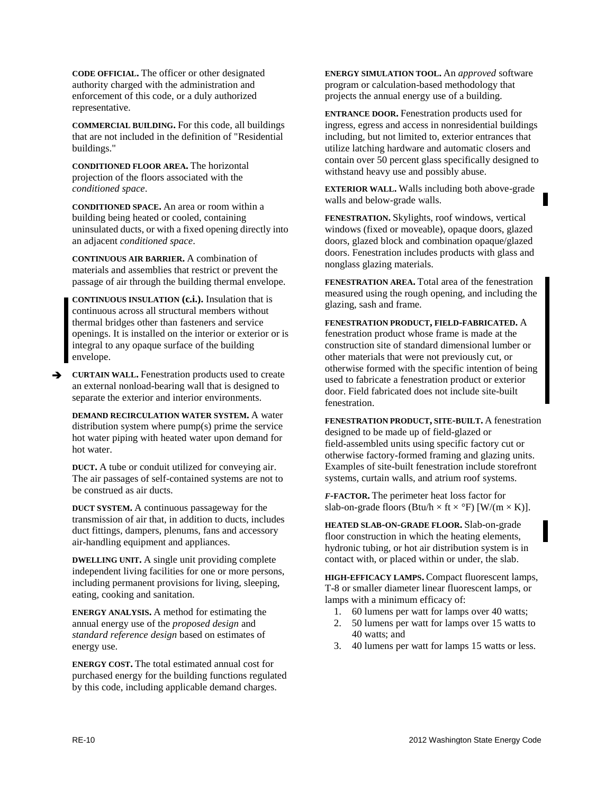**CODE OFFICIAL.** The officer or other designated authority charged with the administration and enforcement of this code, or a duly authorized representative.

**COMMERCIAL BUILDING.** For this code, all buildings that are not included in the definition of "Residential buildings."

**CONDITIONED FLOOR AREA.** The horizontal projection of the floors associated with the *conditioned space*.

**CONDITIONED SPACE.** An area or room within a building being heated or cooled, containing uninsulated ducts, or with a fixed opening directly into an adjacent *conditioned space*.

**CONTINUOUS AIR BARRIER.** A combination of materials and assemblies that restrict or prevent the passage of air through the building thermal envelope.

**CONTINUOUS INSULATION (c.i.).** Insulation that is continuous across all structural members without thermal bridges other than fasteners and service openings. It is installed on the interior or exterior or is integral to any opaque surface of the building envelope.

**CURTAIN WALL.** Fenestration products used to create an external nonload-bearing wall that is designed to separate the exterior and interior environments.

**DEMAND RECIRCULATION WATER SYSTEM.** A water distribution system where pump(s) prime the service hot water piping with heated water upon demand for hot water.

**DUCT.** A tube or conduit utilized for conveying air. The air passages of self-contained systems are not to be construed as air ducts.

**DUCT SYSTEM.** A continuous passageway for the transmission of air that, in addition to ducts, includes duct fittings, dampers, plenums, fans and accessory air-handling equipment and appliances.

**DWELLING UNIT.** A single unit providing complete independent living facilities for one or more persons, including permanent provisions for living, sleeping, eating, cooking and sanitation.

**ENERGY ANALYSIS.** A method for estimating the annual energy use of the *proposed design* and *standard reference design* based on estimates of energy use.

**ENERGY COST.** The total estimated annual cost for purchased energy for the building functions regulated by this code, including applicable demand charges.

**ENERGY SIMULATION TOOL.** An *approved* software program or calculation-based methodology that projects the annual energy use of a building.

**ENTRANCE DOOR.** Fenestration products used for ingress, egress and access in nonresidential buildings including, but not limited to, exterior entrances that utilize latching hardware and automatic closers and contain over 50 percent glass specifically designed to withstand heavy use and possibly abuse.

**EXTERIOR WALL.** Walls including both above-grade walls and below-grade walls.

**FENESTRATION.** Skylights, roof windows, vertical windows (fixed or moveable), opaque doors, glazed doors, glazed block and combination opaque/glazed doors. Fenestration includes products with glass and nonglass glazing materials.

**FENESTRATION AREA.** Total area of the fenestration measured using the rough opening, and including the glazing, sash and frame.

**FENESTRATION PRODUCT, FIELD-FABRICATED.** A fenestration product whose frame is made at the construction site of standard dimensional lumber or other materials that were not previously cut, or otherwise formed with the specific intention of being used to fabricate a fenestration product or exterior door. Field fabricated does not include site-built fenestration.

**FENESTRATION PRODUCT, SITE-BUILT.** A fenestration designed to be made up of field-glazed or field-assembled units using specific factory cut or otherwise factory-formed framing and glazing units. Examples of site-built fenestration include storefront systems, curtain walls, and atrium roof systems.

*F***-FACTOR.** The perimeter heat loss factor for slab-on-grade floors (Btu/h  $\times$  ft  $\times$  °F) [W/(m  $\times$  K)].

**HEATED SLAB-ON-GRADE FLOOR.** Slab-on-grade floor construction in which the heating elements, hydronic tubing, or hot air distribution system is in contact with, or placed within or under, the slab.

**HIGH-EFFICACY LAMPS.** Compact fluorescent lamps, T-8 or smaller diameter linear fluorescent lamps, or lamps with a minimum efficacy of:

- 1. 60 lumens per watt for lamps over 40 watts;
- 2. 50 lumens per watt for lamps over 15 watts to 40 watts; and
- 3. 40 lumens per watt for lamps 15 watts or less.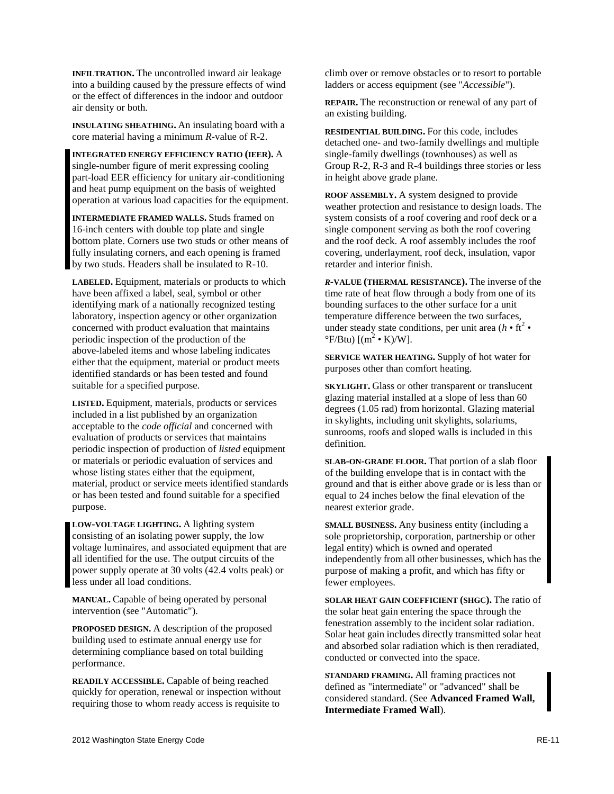**INFILTRATION.** The uncontrolled inward air leakage into a building caused by the pressure effects of wind or the effect of differences in the indoor and outdoor air density or both.

**INSULATING SHEATHING.** An insulating board with a core material having a minimum *R*-value of R-2.

**INTEGRATED ENERGY EFFICIENCY RATIO (IEER).** A single-number figure of merit expressing cooling part-load EER efficiency for unitary air-conditioning and heat pump equipment on the basis of weighted operation at various load capacities for the equipment.

**INTERMEDIATE FRAMED WALLS.** Studs framed on 16-inch centers with double top plate and single bottom plate. Corners use two studs or other means of fully insulating corners, and each opening is framed by two studs. Headers shall be insulated to R-10.

**LABELED.** Equipment, materials or products to which have been affixed a label, seal, symbol or other identifying mark of a nationally recognized testing laboratory, inspection agency or other organization concerned with product evaluation that maintains periodic inspection of the production of the above-labeled items and whose labeling indicates either that the equipment, material or product meets identified standards or has been tested and found suitable for a specified purpose.

**LISTED.** Equipment, materials, products or services included in a list published by an organization acceptable to the *code official* and concerned with evaluation of products or services that maintains periodic inspection of production of *listed* equipment or materials or periodic evaluation of services and whose listing states either that the equipment, material, product or service meets identified standards or has been tested and found suitable for a specified purpose.

**LOW-VOLTAGE LIGHTING.** A lighting system consisting of an isolating power supply, the low voltage luminaires, and associated equipment that are all identified for the use. The output circuits of the power supply operate at 30 volts (42.4 volts peak) or less under all load conditions.

**MANUAL.** Capable of being operated by personal intervention (see "Automatic").

**PROPOSED DESIGN.** A description of the proposed building used to estimate annual energy use for determining compliance based on total building performance.

**READILY ACCESSIBLE.** Capable of being reached quickly for operation, renewal or inspection without requiring those to whom ready access is requisite to

climb over or remove obstacles or to resort to portable ladders or access equipment (see "*Accessible*").

**REPAIR.** The reconstruction or renewal of any part of an existing building.

**RESIDENTIAL BUILDING.** For this code, includes detached one- and two-family dwellings and multiple single-family dwellings (townhouses) as well as Group R-2, R-3 and R-4 buildings three stories or less in height above grade plane.

**ROOF ASSEMBLY.** A system designed to provide weather protection and resistance to design loads. The system consists of a roof covering and roof deck or a single component serving as both the roof covering and the roof deck. A roof assembly includes the roof covering, underlayment, roof deck, insulation, vapor retarder and interior finish.

*R***-VALUE (THERMAL RESISTANCE).** The inverse of the time rate of heat flow through a body from one of its bounding surfaces to the other surface for a unit temperature difference between the two surfaces, under steady state conditions, per unit area  $(h \cdot \text{ft}^2 \cdot$  $\mathrm{P}(\mathrm{B}^{\circ}F/\mathrm{B})$  [(m<sup>2</sup> • K)/W].

**SERVICE WATER HEATING.** Supply of hot water for purposes other than comfort heating.

**SKYLIGHT.** Glass or other transparent or translucent glazing material installed at a slope of less than 60 degrees (1.05 rad) from horizontal. Glazing material in skylights, including unit skylights, solariums, sunrooms, roofs and sloped walls is included in this definition.

**SLAB-ON-GRADE FLOOR.** That portion of a slab floor of the building envelope that is in contact with the ground and that is either above grade or is less than or equal to 24 inches below the final elevation of the nearest exterior grade.

**SMALL BUSINESS.** Any business entity (including a sole proprietorship, corporation, partnership or other legal entity) which is owned and operated independently from all other businesses, which has the purpose of making a profit, and which has fifty or fewer employees.

**SOLAR HEAT GAIN COEFFICIENT (SHGC).** The ratio of the solar heat gain entering the space through the fenestration assembly to the incident solar radiation. Solar heat gain includes directly transmitted solar heat and absorbed solar radiation which is then reradiated, conducted or convected into the space.

**STANDARD FRAMING.** All framing practices not defined as "intermediate" or "advanced" shall be considered standard. (See **Advanced Framed Wall, Intermediate Framed Wall**).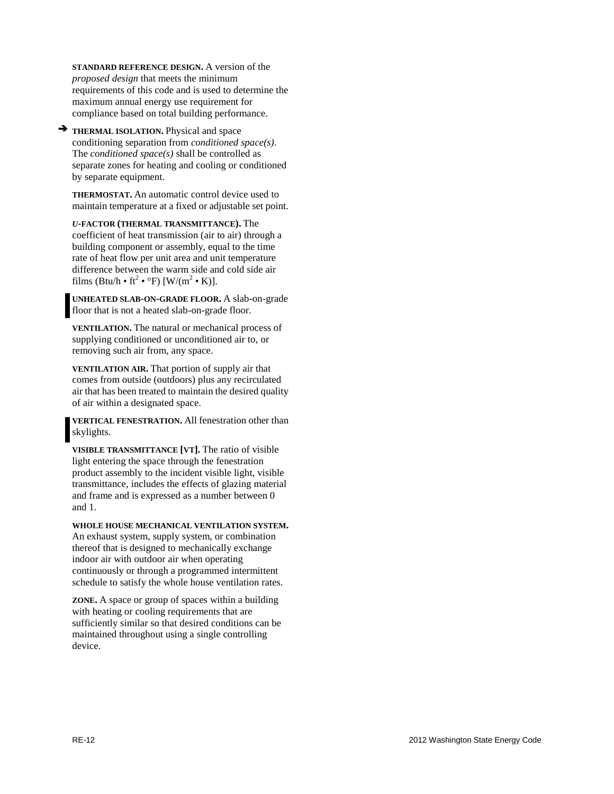**STANDARD REFERENCE DESIGN.** A version of the *proposed design* that meets the minimum requirements of this code and is used to determine the maximum annual energy use requirement for compliance based on total building performance.

**THERMAL ISOLATION.** Physical and space conditioning separation from *conditioned space(s)*. The *conditioned space(s)* shall be controlled as separate zones for heating and cooling or conditioned by separate equipment.

**THERMOSTAT.** An automatic control device used to maintain temperature at a fixed or adjustable set point.

*U***-FACTOR (THERMAL TRANSMITTANCE).** The coefficient of heat transmission (air to air) through a building component or assembly, equal to the time rate of heat flow per unit area and unit temperature difference between the warm side and cold side air films (Btu/h • ft<sup>2</sup> • °F) [W/(m<sup>2</sup> • K)].

**UNHEATED SLAB-ON-GRADE FLOOR.** A slab-on-grade floor that is not a heated slab-on-grade floor.

**VENTILATION.** The natural or mechanical process of supplying conditioned or unconditioned air to, or removing such air from, any space.

**VENTILATION AIR.** That portion of supply air that comes from outside (outdoors) plus any recirculated air that has been treated to maintain the desired quality of air within a designated space.

**VERTICAL FENESTRATION.** All fenestration other than skylights.

**VISIBLE TRANSMITTANCE [VT].** The ratio of visible light entering the space through the fenestration product assembly to the incident visible light, visible transmittance, includes the effects of glazing material and frame and is expressed as a number between 0 and 1.

**WHOLE HOUSE MECHANICAL VENTILATION SYSTEM.**

An exhaust system, supply system, or combination thereof that is designed to mechanically exchange indoor air with outdoor air when operating continuously or through a programmed intermittent schedule to satisfy the whole house ventilation rates.

**ZONE.** A space or group of spaces within a building with heating or cooling requirements that are sufficiently similar so that desired conditions can be maintained throughout using a single controlling device.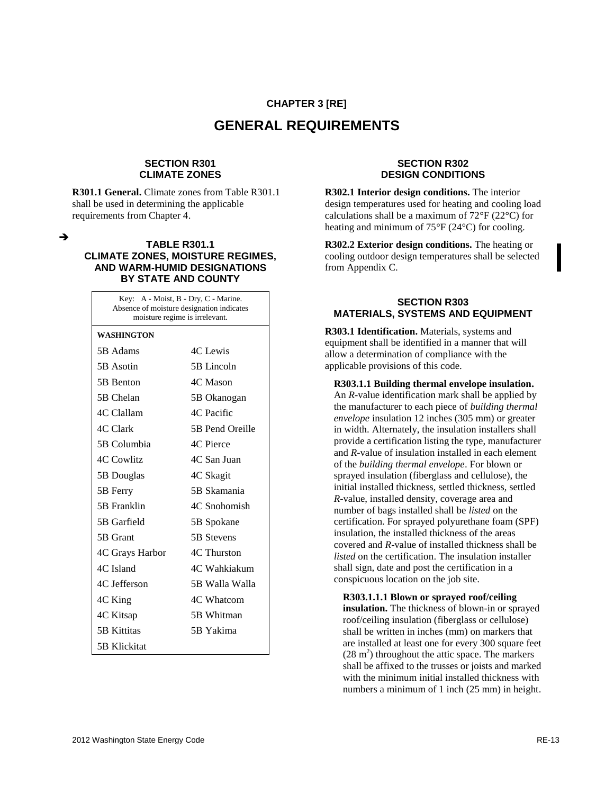# **CHAPTER 3 [RE] GENERAL REQUIREMENTS**

#### **SECTION R301 CLIMATE ZONES**

**R301.1 General.** Climate zones from Table R301.1 shall be used in determining the applicable requirements from Chapter 4.

**A** 

# **TABLE R301.1 CLIMATE ZONES, MOISTURE REGIMES, AND WARM-HUMID DESIGNATIONS BY STATE AND COUNTY**

| Key: A - Moist, B - Dry, C - Marine.<br>Absence of moisture designation indicates<br>moisture regime is irrelevant. |                 |  |
|---------------------------------------------------------------------------------------------------------------------|-----------------|--|
| WASHINGTON                                                                                                          |                 |  |
| 5B Adams                                                                                                            | 4C Lewis        |  |
| 5B Asotin                                                                                                           | 5B Lincoln      |  |
| 5B Benton                                                                                                           | 4C Mason        |  |
| 5B Chelan                                                                                                           | 5B Okanogan     |  |
| 4C Clallam                                                                                                          | 4C Pacific      |  |
| 4C Clark                                                                                                            | 5B Pend Oreille |  |
| 5B Columbia                                                                                                         | 4C Pierce       |  |
| 4C Cowlitz                                                                                                          | 4C San Juan     |  |
| 5B Douglas                                                                                                          | 4C Skagit       |  |
| 5B Ferry                                                                                                            | 5B Skamania     |  |
| 5B Franklin                                                                                                         | 4C Snohomish    |  |
| 5B Garfield                                                                                                         | 5B Spokane      |  |
| 5B Grant                                                                                                            | 5B Stevens      |  |
| 4C Grays Harbor                                                                                                     | 4C Thurston     |  |
| 4C Island                                                                                                           | 4C Wahkiakum    |  |
| 4C Jefferson                                                                                                        | 5B Walla Walla  |  |
| 4C King                                                                                                             | 4C Whatcom      |  |
| 4C Kitsap                                                                                                           | 5B Whitman      |  |
| <b>5B Kittitas</b>                                                                                                  | 5B Yakima       |  |
| 5B Klickitat                                                                                                        |                 |  |

### **SECTION R302 DESIGN CONDITIONS**

**R302.1 Interior design conditions.** The interior design temperatures used for heating and cooling load calculations shall be a maximum of 72°F (22°C) for heating and minimum of 75°F (24°C) for cooling.

**R302.2 Exterior design conditions.** The heating or cooling outdoor design temperatures shall be selected from Appendix C.

# **SECTION R303 MATERIALS, SYSTEMS AND EQUIPMENT**

**R303.1 Identification.** Materials, systems and equipment shall be identified in a manner that will allow a determination of compliance with the applicable provisions of this code.

**R303.1.1 Building thermal envelope insulation.**  An *R*-value identification mark shall be applied by the manufacturer to each piece of *building thermal envelope* insulation 12 inches (305 mm) or greater in width. Alternately, the insulation installers shall provide a certification listing the type, manufacturer and *R*-value of insulation installed in each element of the *building thermal envelope*. For blown or sprayed insulation (fiberglass and cellulose), the initial installed thickness, settled thickness, settled *R*-value, installed density, coverage area and number of bags installed shall be *listed* on the certification. For sprayed polyurethane foam (SPF) insulation, the installed thickness of the areas covered and *R*-value of installed thickness shall be *listed* on the certification. The insulation installer shall sign, date and post the certification in a conspicuous location on the job site.

**R303.1.1.1 Blown or sprayed roof/ceiling insulation.** The thickness of blown-in or sprayed roof/ceiling insulation (fiberglass or cellulose) shall be written in inches (mm) on markers that are installed at least one for every 300 square feet  $(28 \text{ m}^2)$  throughout the attic space. The markers shall be affixed to the trusses or joists and marked with the minimum initial installed thickness with numbers a minimum of 1 inch (25 mm) in height.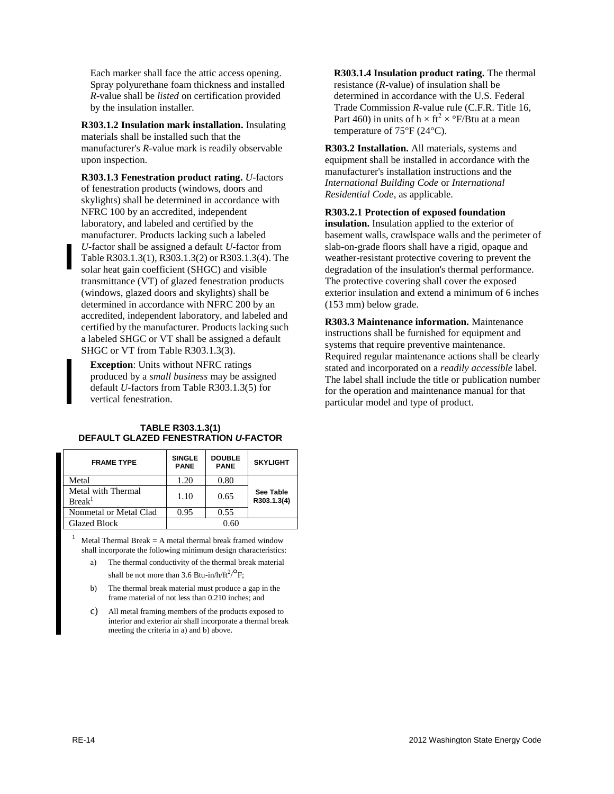Each marker shall face the attic access opening. Spray polyurethane foam thickness and installed *R*-value shall be *listed* on certification provided by the insulation installer.

**R303.1.2 Insulation mark installation.** Insulating materials shall be installed such that the manufacturer's *R*-value mark is readily observable upon inspection.

**R303.1.3 Fenestration product rating.** *U*-factors of fenestration products (windows, doors and skylights) shall be determined in accordance with NFRC 100 by an accredited, independent laboratory, and labeled and certified by the manufacturer. Products lacking such a labeled *U*-factor shall be assigned a default *U*-factor from Table R303.1.3(1), R303.1.3(2) or R303.1.3(4). The solar heat gain coefficient (SHGC) and visible transmittance (VT) of glazed fenestration products (windows, glazed doors and skylights) shall be determined in accordance with NFRC 200 by an accredited, independent laboratory, and labeled and certified by the manufacturer. Products lacking such a labeled SHGC or VT shall be assigned a default SHGC or VT from Table R303.1.3(3).

**Exception**: Units without NFRC ratings produced by a *small business* may be assigned default *U*-factors from Table R303.1.3(5) for vertical fenestration.

#### **TABLE R303.1.3(1) DEFAULT GLAZED FENESTRATION** *U***-FACTOR**

| <b>FRAME TYPE</b>                        | <b>SINGLE</b><br><b>PANE</b> | <b>DOUBLE</b><br><b>PANE</b> | <b>SKYLIGHT</b>          |
|------------------------------------------|------------------------------|------------------------------|--------------------------|
| Metal                                    | 1.20                         | 0.80                         |                          |
| Metal with Thermal<br>Break <sup>1</sup> | 1.10                         | 0.65                         | See Table<br>R303.1.3(4) |
| Nonmetal or Metal Clad                   | 0.95                         | 0.55                         |                          |
| <b>Glazed Block</b>                      |                              |                              |                          |

Metal Thermal Break  $=$  A metal thermal break framed window shall incorporate the following minimum design characteristics:

a) The thermal conductivity of the thermal break material shall be not more than 3.6 Btu-in/h/ft<sup>2</sup>/<sup>O</sup>F;

- b) The thermal break material must produce a gap in the frame material of not less than 0.210 inches; and
- c) All metal framing members of the products exposed to interior and exterior air shall incorporate a thermal break meeting the criteria in a) and b) above.

**R303.1.4 Insulation product rating.** The thermal resistance (*R*-value) of insulation shall be determined in accordance with the U.S. Federal Trade Commission *R*-value rule (C.F.R. Title 16, Part 460) in units of  $h \times ft^2 \times \text{P/B}$ tu at a mean temperature of 75°F (24°C).

**R303.2 Installation.** All materials, systems and equipment shall be installed in accordance with the manufacturer's installation instructions and the *International Building Code* or *International Residential Code*, as applicable.

#### **R303.2.1 Protection of exposed foundation**

**insulation.** Insulation applied to the exterior of basement walls, crawlspace walls and the perimeter of slab-on-grade floors shall have a rigid, opaque and weather-resistant protective covering to prevent the degradation of the insulation's thermal performance. The protective covering shall cover the exposed exterior insulation and extend a minimum of 6 inches (153 mm) below grade.

**R303.3 Maintenance information.** Maintenance instructions shall be furnished for equipment and systems that require preventive maintenance. Required regular maintenance actions shall be clearly stated and incorporated on a *readily accessible* label. The label shall include the title or publication number for the operation and maintenance manual for that particular model and type of product.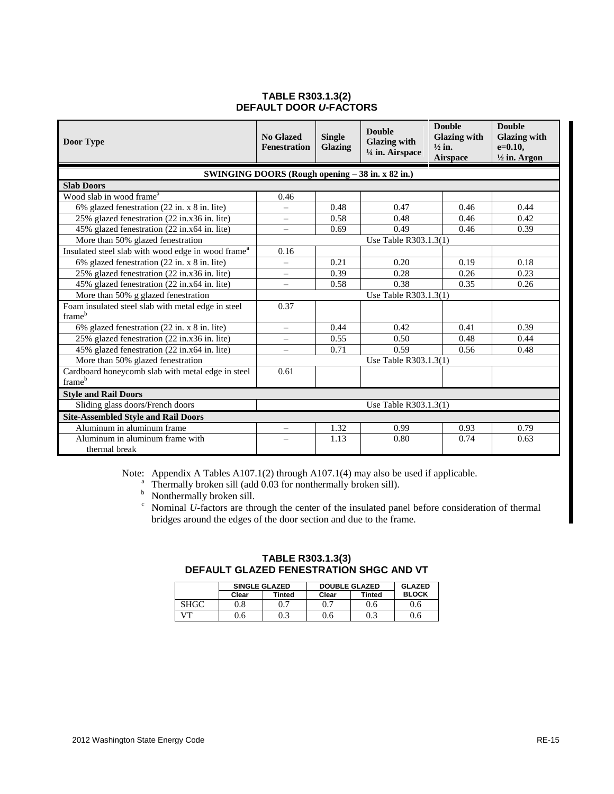#### **TABLE R303.1.3(2) DEFAULT DOOR** *U***-FACTORS**

| <b>Door Type</b>                                                         | <b>No Glazed</b><br><b>Fenestration</b>          | <b>Single</b><br>Glazing | <b>Double</b><br><b>Glazing with</b><br>$\frac{1}{4}$ in. Airspace | <b>Double</b><br><b>Glazing with</b><br>$\frac{1}{2}$ in.<br>Airspace | <b>Double</b><br><b>Glazing with</b><br>$e=0.10$ ,<br>$\frac{1}{2}$ in. Argon |
|--------------------------------------------------------------------------|--------------------------------------------------|--------------------------|--------------------------------------------------------------------|-----------------------------------------------------------------------|-------------------------------------------------------------------------------|
|                                                                          | SWINGING DOORS (Rough opening - 38 in. x 82 in.) |                          |                                                                    |                                                                       |                                                                               |
| <b>Slab Doors</b>                                                        |                                                  |                          |                                                                    |                                                                       |                                                                               |
| Wood slab in wood frame <sup>a</sup>                                     | 0.46                                             |                          |                                                                    |                                                                       |                                                                               |
| 6% glazed fenestration (22 in. x 8 in. lite)                             |                                                  | 0.48                     | 0.47                                                               | 0.46                                                                  | 0.44                                                                          |
| 25% glazed fenestration (22 in.x36 in. lite)                             |                                                  | 0.58                     | 0.48                                                               | 0.46                                                                  | 0.42                                                                          |
| 45% glazed fenestration (22 in.x64 in. lite)                             | $\overline{\phantom{0}}$                         | 0.69                     | 0.49                                                               | 0.46                                                                  | 0.39                                                                          |
| More than 50% glazed fenestration                                        |                                                  |                          | Use Table R303.1.3(1)                                              |                                                                       |                                                                               |
| Insulated steel slab with wood edge in wood frame <sup>a</sup>           | 0.16                                             |                          |                                                                    |                                                                       |                                                                               |
| 6% glazed fenestration (22 in. x 8 in. lite)                             |                                                  | 0.21                     | 0.20                                                               | 0.19                                                                  | 0.18                                                                          |
| 25% glazed fenestration (22 in.x36 in. lite)                             | $\overline{\phantom{0}}$                         | 0.39                     | 0.28                                                               | 0.26                                                                  | 0.23                                                                          |
| 45% glazed fenestration (22 in.x64 in. lite)                             | $\equiv$                                         | 0.58                     | 0.38                                                               | 0.35                                                                  | 0.26                                                                          |
| More than 50% g glazed fenestration                                      |                                                  |                          | Use Table R303.1.3(1)                                              |                                                                       |                                                                               |
| Foam insulated steel slab with metal edge in steel<br>frame <sup>b</sup> | 0.37                                             |                          |                                                                    |                                                                       |                                                                               |
| 6% glazed fenestration (22 in. x 8 in. lite)                             | $\overline{\phantom{0}}$                         | 0.44                     | 0.42                                                               | 0.41                                                                  | 0.39                                                                          |
| 25% glazed fenestration (22 in.x36 in. lite)                             |                                                  | 0.55                     | 0.50                                                               | 0.48                                                                  | 0.44                                                                          |
| 45% glazed fenestration (22 in.x64 in. lite)                             |                                                  | 0.71                     | 0.59                                                               | 0.56                                                                  | 0.48                                                                          |
| More than 50% glazed fenestration                                        |                                                  |                          | Use Table R303.1.3(1)                                              |                                                                       |                                                                               |
| Cardboard honeycomb slab with metal edge in steel                        | 0.61                                             |                          |                                                                    |                                                                       |                                                                               |
| frame <sup>b</sup>                                                       |                                                  |                          |                                                                    |                                                                       |                                                                               |
| <b>Style and Rail Doors</b>                                              |                                                  |                          |                                                                    |                                                                       |                                                                               |
| Sliding glass doors/French doors                                         |                                                  |                          | Use Table R303.1.3(1)                                              |                                                                       |                                                                               |
| <b>Site-Assembled Style and Rail Doors</b>                               |                                                  |                          |                                                                    |                                                                       |                                                                               |
| Aluminum in aluminum frame                                               | $\overline{\phantom{0}}$                         | 1.32                     | 0.99                                                               | 0.93                                                                  | 0.79                                                                          |
| Aluminum in aluminum frame with<br>thermal break                         |                                                  | 1.13                     | 0.80                                                               | 0.74                                                                  | 0.63                                                                          |

Note: Appendix A Tables A107.1(2) through A107.1(4) may also be used if applicable.

<sup>a</sup> Thermally broken sill (add 0.03 for nonthermally broken sill).

b Nonthermally broken sill.

<sup>c</sup> Nominal *U*-factors are through the center of the insulated panel before consideration of thermal bridges around the edges of the door section and due to the frame.

|             | <b>SINGLE GLAZED</b> |        | <b>DOUBLE GLAZED</b> | <b>GLAZED</b> |              |
|-------------|----------------------|--------|----------------------|---------------|--------------|
|             | Clear                | Tinted | Clear                | <b>Tinted</b> | <b>BLOCK</b> |
| <b>SHGC</b> | ).8                  | 0.7    |                      | 0.6           | 0.6          |
| VТ          | ).6                  | 0.3    | 0.6                  | 0.3           | 0.6          |

# **TABLE R303.1.3(3) DEFAULT GLAZED FENESTRATION SHGC AND VT**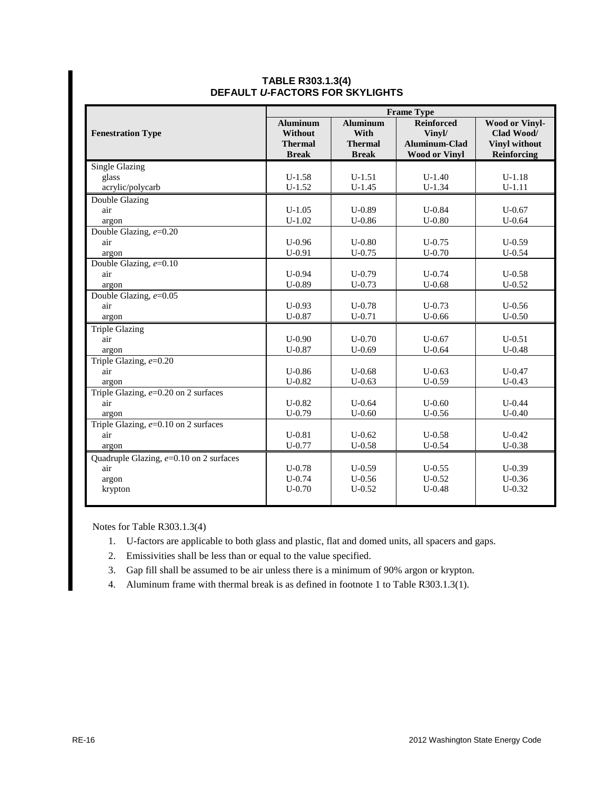| TABLE R303.1.3(4)               |
|---------------------------------|
| DEFAULT U-FACTORS FOR SKYLIGHTS |

|                                           |                                                              |                                                           | <b>Frame Type</b>                                                    |                                                                                   |
|-------------------------------------------|--------------------------------------------------------------|-----------------------------------------------------------|----------------------------------------------------------------------|-----------------------------------------------------------------------------------|
| <b>Fenestration Type</b>                  | <b>Aluminum</b><br>Without<br><b>Thermal</b><br><b>Break</b> | <b>Aluminum</b><br>With<br><b>Thermal</b><br><b>Break</b> | <b>Reinforced</b><br>Vinyl/<br>Aluminum-Clad<br><b>Wood or Vinyl</b> | <b>Wood or Vinyl-</b><br>Clad Wood/<br><b>Vinyl without</b><br><b>Reinforcing</b> |
| <b>Single Glazing</b>                     |                                                              |                                                           |                                                                      |                                                                                   |
| glass                                     | $U-1.58$                                                     | $U-1.51$                                                  | $U-1.40$                                                             | $U-1.18$                                                                          |
| acrylic/polycarb                          | $U-1.52$                                                     | $U-1.45$                                                  | $U-1.34$                                                             | $U-1.11$                                                                          |
| Double Glazing                            |                                                              |                                                           |                                                                      |                                                                                   |
| air                                       | $U-1.05$                                                     | $U-0.89$                                                  | $U-0.84$                                                             | $U - 0.67$                                                                        |
| argon                                     | $U-1.02$                                                     | $U-0.86$                                                  | $U-0.80$                                                             | $U - 0.64$                                                                        |
| Double Glazing, $e=0.20$                  |                                                              |                                                           |                                                                      |                                                                                   |
| air                                       | $U-0.96$                                                     | $U-0.80$                                                  | $U-0.75$                                                             | $U-0.59$                                                                          |
| argon                                     | $U-0.91$                                                     | $U - 0.75$                                                | $U-0.70$                                                             | $U - 0.54$                                                                        |
| Double Glazing, $e=0.10$                  |                                                              |                                                           |                                                                      |                                                                                   |
| air                                       | $U - 0.94$                                                   | $U-0.79$                                                  | $U - 0.74$                                                           | $U - 0.58$                                                                        |
| argon                                     | $U-0.89$                                                     | $U - 0.73$                                                | $U-0.68$                                                             | $U-0.52$                                                                          |
| Double Glazing, $e=0.05$                  |                                                              |                                                           |                                                                      |                                                                                   |
| air                                       | $U-0.93$                                                     | $U-0.78$                                                  | $U-0.73$                                                             | $U - 0.56$                                                                        |
| argon                                     | $U-0.87$                                                     | $U-0.71$                                                  | $U-0.66$                                                             | $U-0.50$                                                                          |
| <b>Triple Glazing</b>                     |                                                              |                                                           |                                                                      |                                                                                   |
| air                                       | $U-0.90$                                                     | $U - 0.70$                                                | $U - 0.67$                                                           | $U - 0.51$                                                                        |
| argon                                     | $U-0.87$                                                     | $U-0.69$                                                  | $U - 0.64$                                                           | $U - 0.48$                                                                        |
| Triple Glazing, $e=0.20$                  |                                                              |                                                           |                                                                      |                                                                                   |
| air                                       | $U-0.86$                                                     | $U-0.68$                                                  | $U-0.63$                                                             | $U - 0.47$                                                                        |
| argon                                     | $U-0.82$                                                     | $U - 0.63$                                                | $U-0.59$                                                             | $U - 0.43$                                                                        |
| Triple Glazing, $e=0.20$ on 2 surfaces    |                                                              |                                                           |                                                                      |                                                                                   |
| air                                       | $U-0.82$                                                     | $U - 0.64$                                                | $U-0.60$                                                             | $U - 0.44$                                                                        |
| argon                                     | $U-0.79$                                                     | $U - 0.60$                                                | $U - 0.56$                                                           | $U - 0.40$                                                                        |
| Triple Glazing, $e=0.10$ on 2 surfaces    |                                                              |                                                           |                                                                      |                                                                                   |
| air                                       | $U - 0.81$                                                   | $U - 0.62$                                                | $U-0.58$                                                             | $U-0.42$                                                                          |
| argon                                     | $U-0.77$                                                     | $U-0.58$                                                  | $U - 0.54$                                                           | $U-0.38$                                                                          |
| Quadruple Glazing, $e=0.10$ on 2 surfaces |                                                              |                                                           |                                                                      |                                                                                   |
| air                                       | $U-0.78$                                                     | $U-0.59$                                                  | $U - 0.55$                                                           | $U-0.39$                                                                          |
| argon                                     | $U - 0.74$                                                   | $U - 0.56$                                                | $U-0.52$                                                             | $U - 0.36$                                                                        |
| krypton                                   | $U - 0.70$                                                   | $U - 0.52$                                                | $U-0.48$                                                             | $U-0.32$                                                                          |
|                                           |                                                              |                                                           |                                                                      |                                                                                   |

Notes for Table R303.1.3(4)

- 1. U-factors are applicable to both glass and plastic, flat and domed units, all spacers and gaps.
- 2. Emissivities shall be less than or equal to the value specified.
- 3. Gap fill shall be assumed to be air unless there is a minimum of 90% argon or krypton.
- 4. Aluminum frame with thermal break is as defined in footnote 1 to Table R303.1.3(1).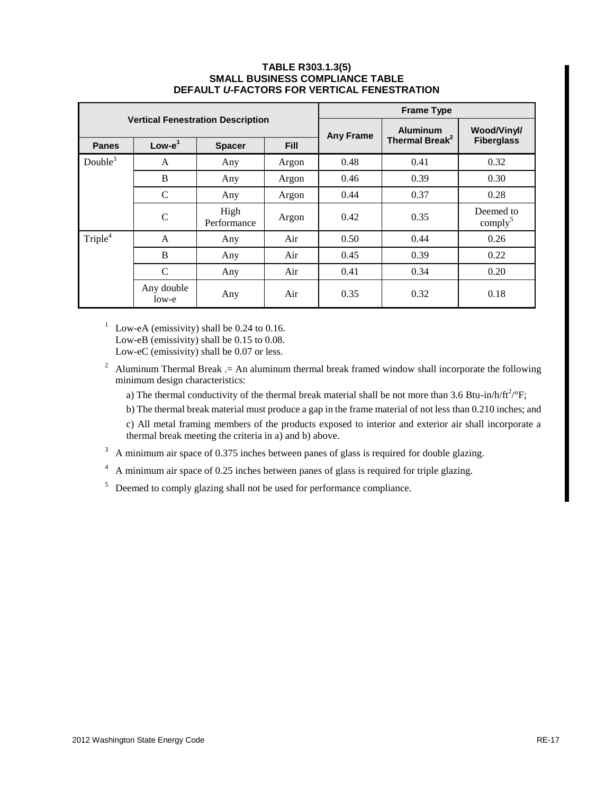### **TABLE R303.1.3(5) SMALL BUSINESS COMPLIANCE TABLE DEFAULT** *U***-FACTORS FOR VERTICAL FENESTRATION**

| <b>Vertical Fenestration Description</b> |                     |                     |                  | <b>Frame Type</b> |                            |                                  |
|------------------------------------------|---------------------|---------------------|------------------|-------------------|----------------------------|----------------------------------|
|                                          |                     |                     | <b>Any Frame</b> | <b>Aluminum</b>   | Wood/Vinyl/                |                                  |
| <b>Panes</b>                             | Low- $e^1$          | <b>Spacer</b>       | <b>Fill</b>      |                   | Thermal Break <sup>2</sup> | <b>Fiberglass</b>                |
| Double $3$                               | A                   | Any                 | Argon            | 0.48              | 0.41                       | 0.32                             |
|                                          | B                   | Any                 | Argon            | 0.46              | 0.39                       | 0.30                             |
|                                          | $\mathcal{C}$       | Any                 | Argon            | 0.44              | 0.37                       | 0.28                             |
|                                          | $\mathcal{C}$       | High<br>Performance | Argon            | 0.42              | 0.35                       | Deemed to<br>comply <sup>5</sup> |
| Triple <sup>4</sup>                      | A                   | Any                 | Air              | 0.50              | 0.44                       | 0.26                             |
|                                          | B                   | Any                 | Air              | 0.45              | 0.39                       | 0.22                             |
|                                          | $\mathcal{C}$       | Any                 | Air              | 0.41              | 0.34                       | 0.20                             |
|                                          | Any double<br>low-e | Any                 | Air              | 0.35              | 0.32                       | 0.18                             |

<sup>1</sup> Low-eA (emissivity) shall be 0.24 to 0.16. Low-eB (emissivity) shall be 0.15 to 0.08. Low-eC (emissivity) shall be 0.07 or less.

<sup>2</sup> Aluminum Thermal Break .= An aluminum thermal break framed window shall incorporate the following minimum design characteristics:

- a) The thermal conductivity of the thermal break material shall be not more than 3.6 Btu-in/h/ft<sup>2</sup>/°F;
- b) The thermal break material must produce a gap in the frame material of not less than 0.210 inches; and c) All metal framing members of the products exposed to interior and exterior air shall incorporate a

thermal break meeting the criteria in a) and b) above.

 $3\text{ A minimum air space of } 0.375 \text{ inches between panes of glass is required for double glazing.}$ 

 $4\text{ A minimum air space of } 0.25 \text{ inches between panes of glass is required for triple glazing.}$ 

<sup>5</sup> Deemed to comply glazing shall not be used for performance compliance.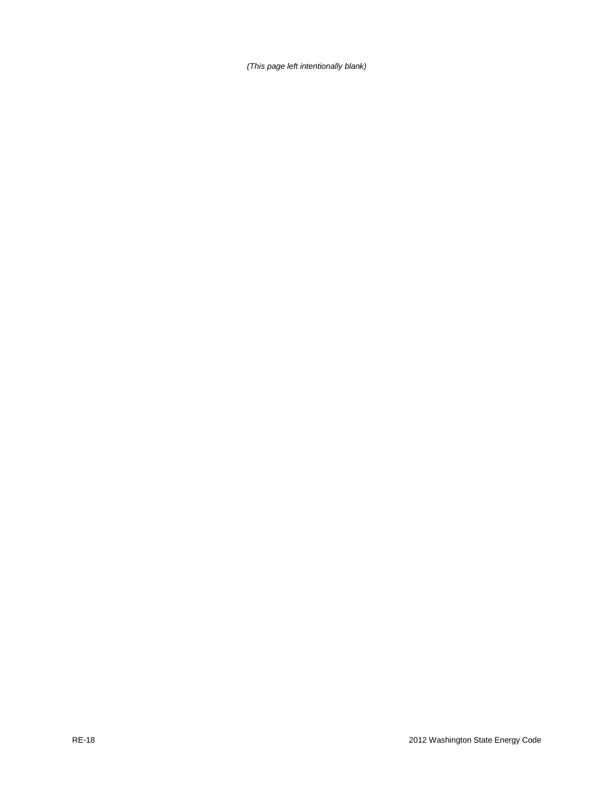*(This page left intentionally blank)*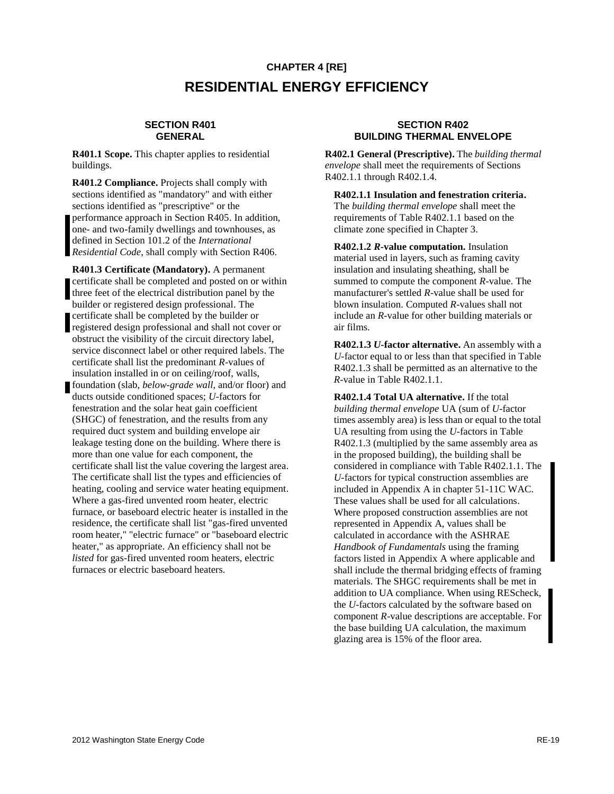# **CHAPTER 4 [RE] RESIDENTIAL ENERGY EFFICIENCY**

#### **SECTION R401 GENERAL**

**R401.1 Scope.** This chapter applies to residential buildings.

**R401.2 Compliance.** Projects shall comply with sections identified as "mandatory" and with either sections identified as "prescriptive" or the performance approach in Section R405. In addition, one- and two-family dwellings and townhouses, as defined in Section 101.2 of the *International Residential Code*, shall comply with Section R406.

**R401.3 Certificate (Mandatory).** A permanent certificate shall be completed and posted on or within three feet of the electrical distribution panel by the builder or registered design professional. The certificate shall be completed by the builder or registered design professional and shall not cover or obstruct the visibility of the circuit directory label, service disconnect label or other required labels. The certificate shall list the predominant *R*-values of insulation installed in or on ceiling/roof, walls, foundation (slab, *below-grade wall*, and/or floor) and ducts outside conditioned spaces; *U*-factors for fenestration and the solar heat gain coefficient (SHGC) of fenestration, and the results from any required duct system and building envelope air leakage testing done on the building. Where there is more than one value for each component, the certificate shall list the value covering the largest area. The certificate shall list the types and efficiencies of heating, cooling and service water heating equipment. Where a gas-fired unvented room heater, electric furnace, or baseboard electric heater is installed in the residence, the certificate shall list "gas-fired unvented room heater," "electric furnace" or "baseboard electric heater," as appropriate. An efficiency shall not be *listed* for gas-fired unvented room heaters, electric furnaces or electric baseboard heaters.

# **SECTION R402 BUILDING THERMAL ENVELOPE**

**R402.1 General (Prescriptive).** The *building thermal envelope* shall meet the requirements of Sections R402.1.1 through R402.1.4.

**R402.1.1 Insulation and fenestration criteria.**  The *building thermal envelope* shall meet the requirements of Table R402.1.1 based on the climate zone specified in Chapter 3.

**R402.1.2** *R***-value computation.** Insulation material used in layers, such as framing cavity insulation and insulating sheathing, shall be summed to compute the component *R*-value. The manufacturer's settled *R*-value shall be used for blown insulation. Computed *R*-values shall not include an *R*-value for other building materials or air films.

**R402.1.3** *U***-factor alternative.** An assembly with a *U*-factor equal to or less than that specified in Table R402.1.3 shall be permitted as an alternative to the *R*-value in Table R402.1.1.

**R402.1.4 Total UA alternative.** If the total *building thermal envelope* UA (sum of *U*-factor times assembly area) is less than or equal to the total UA resulting from using the *U*-factors in Table R402.1.3 (multiplied by the same assembly area as in the proposed building), the building shall be considered in compliance with Table R402.1.1. The *U*-factors for typical construction assemblies are included in Appendix A in chapter 51-11C WAC. These values shall be used for all calculations. Where proposed construction assemblies are not represented in Appendix A, values shall be calculated in accordance with the ASHRAE *Handbook of Fundamentals* using the framing factors listed in Appendix A where applicable and shall include the thermal bridging effects of framing materials. The SHGC requirements shall be met in addition to UA compliance. When using REScheck, the *U*-factors calculated by the software based on component *R*-value descriptions are acceptable. For the base building UA calculation, the maximum glazing area is 15% of the floor area.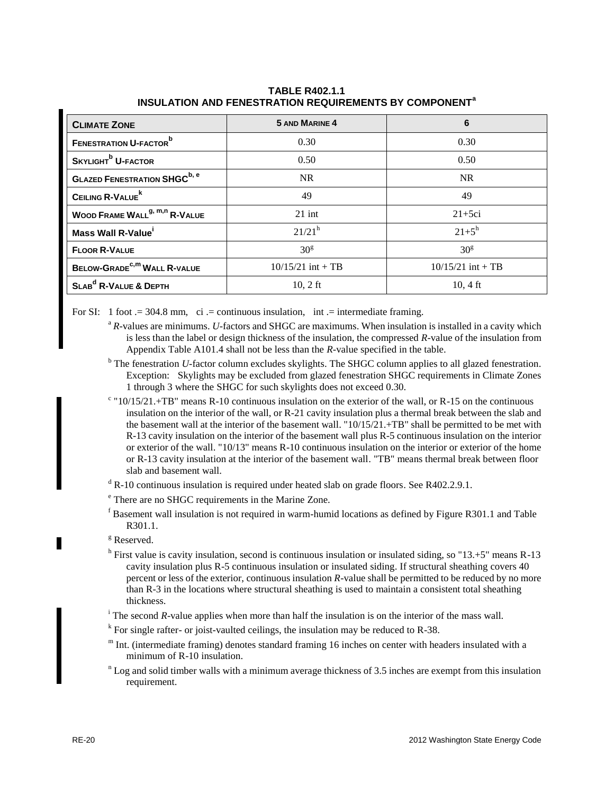| <b>CLIMATE ZONE</b>                             | 5 AND MARINE 4      | 6                   |
|-------------------------------------------------|---------------------|---------------------|
| <b>FENESTRATION U-FACTOR</b> <sup>b</sup>       | 0.30                | 0.30                |
| SKYLIGHT <sup>b</sup> U-FACTOR                  | 0.50                | 0.50                |
| <b>GLAZED FENESTRATION SHGC</b> <sup>b, e</sup> | NR.                 | <b>NR</b>           |
| CEILING R-VALUE <sup>k</sup>                    | 49                  | 49                  |
| WOOD FRAME WALL <sup>9, m,n</sup> R-VALUE       | $21$ int            | $21+5ci$            |
| Mass Wall R-Value                               | $21/21^h$           | $21+5^h$            |
| <b>FLOOR R-VALUE</b>                            | $30^{\rm g}$        | 30 <sup>g</sup>     |
| BELOW-GRADE <sup>C,m</sup> WALL R-VALUE         | $10/15/21$ int + TB | $10/15/21$ int + TB |
| SLAB <sup>d</sup> R-VALUE & DEPTH               | $10, 2$ ft          | $10, 4 \text{ ft}$  |

**TABLE R402.1.1 INSULATION AND FENESTRATION REQUIREMENTS BY COMPONENT<sup>a</sup>**

For SI: 1 foot .= 304.8 mm, ci .= continuous insulation, int .= intermediate framing.

- <sup>a</sup> *R*-values are minimums. *U*-factors and SHGC are maximums. When insulation is installed in a cavity which is less than the label or design thickness of the insulation, the compressed *R*-value of the insulation from Appendix Table A101.4 shall not be less than the *R*-value specified in the table.
- <sup>b</sup> The fenestration *U*-factor column excludes skylights. The SHGC column applies to all glazed fenestration. Exception: Skylights may be excluded from glazed fenestration SHGC requirements in Climate Zones 1 through 3 where the SHGC for such skylights does not exceed 0.30.

 $\textdegree$  "10/15/21.+TB" means R-10 continuous insulation on the exterior of the wall, or R-15 on the continuous insulation on the interior of the wall, or R-21 cavity insulation plus a thermal break between the slab and the basement wall at the interior of the basement wall. "10/15/21.+TB" shall be permitted to be met with R-13 cavity insulation on the interior of the basement wall plus R-5 continuous insulation on the interior or exterior of the wall. "10/13" means R-10 continuous insulation on the interior or exterior of the home or R-13 cavity insulation at the interior of the basement wall. "TB" means thermal break between floor slab and basement wall.

- $d$  R-10 continuous insulation is required under heated slab on grade floors. See R402.2.9.1.
- <sup>e</sup> There are no SHGC requirements in the Marine Zone.
- $f_{\text{Basement}}$  wall insulation is not required in warm-humid locations as defined by Figure R301.1 and Table R301.1.
- <sup>g</sup> Reserved.
- <sup>h</sup> First value is cavity insulation, second is continuous insulation or insulated siding, so "13.+5" means R-13 cavity insulation plus R-5 continuous insulation or insulated siding. If structural sheathing covers 40 percent or less of the exterior, continuous insulation *R*-value shall be permitted to be reduced by no more than R-3 in the locations where structural sheathing is used to maintain a consistent total sheathing thickness.
- <sup>i</sup> The second *R*-value applies when more than half the insulation is on the interior of the mass wall.
- $k$  For single rafter- or joist-vaulted ceilings, the insulation may be reduced to R-38.
- <sup>m</sup> Int. (intermediate framing) denotes standard framing 16 inches on center with headers insulated with a minimum of R-10 insulation.
- $n<sup>n</sup>$  Log and solid timber walls with a minimum average thickness of 3.5 inches are exempt from this insulation requirement.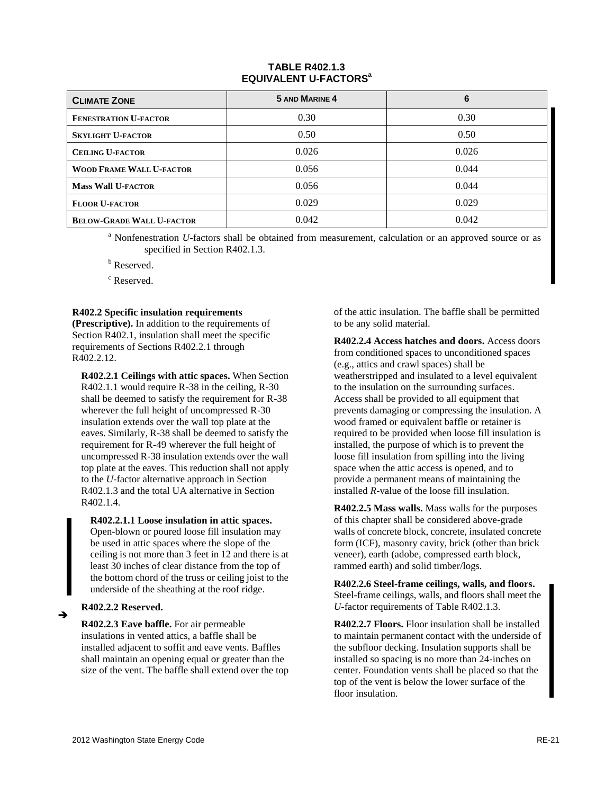# **TABLE R402.1.3 EQUIVALENT U-FACTORS<sup>a</sup>**

| <b>CLIMATE ZONE</b>              | 5 AND MARINE 4 | 6     |
|----------------------------------|----------------|-------|
| <b>FENESTRATION U-FACTOR</b>     | 0.30           | 0.30  |
| <b>SKYLIGHT U-FACTOR</b>         | 0.50           | 0.50  |
| <b>CEILING U-FACTOR</b>          | 0.026          | 0.026 |
| <b>WOOD FRAME WALL U-FACTOR</b>  | 0.056          | 0.044 |
| <b>Mass Wall U-FACTOR</b>        | 0.056          | 0.044 |
| <b>FLOOR U-FACTOR</b>            | 0.029          | 0.029 |
| <b>BELOW-GRADE WALL U-FACTOR</b> | 0.042          | 0.042 |

<sup>a</sup> Nonfenestration *U*-factors shall be obtained from measurement, calculation or an approved source or as specified in Section R402.1.3.

**b** Reserved.

<sup>c</sup> Reserved.

#### **R402.2 Specific insulation requirements**

**(Prescriptive).** In addition to the requirements of Section R402.1, insulation shall meet the specific requirements of Sections R402.2.1 through R402.2.12.

**R402.2.1 Ceilings with attic spaces.** When Section R402.1.1 would require R-38 in the ceiling, R-30 shall be deemed to satisfy the requirement for R-38 wherever the full height of uncompressed R-30 insulation extends over the wall top plate at the eaves. Similarly, R-38 shall be deemed to satisfy the requirement for R-49 wherever the full height of uncompressed R-38 insulation extends over the wall top plate at the eaves. This reduction shall not apply to the *U*-factor alternative approach in Section R402.1.3 and the total UA alternative in Section R402.1.4.

**R402.2.1.1 Loose insulation in attic spaces.**  Open-blown or poured loose fill insulation may be used in attic spaces where the slope of the ceiling is not more than 3 feet in 12 and there is at least 30 inches of clear distance from the top of the bottom chord of the truss or ceiling joist to the underside of the sheathing at the roof ridge.

#### **R402.2.2 Reserved.**

 $\rightarrow$ 

**R402.2.3 Eave baffle.** For air permeable insulations in vented attics, a baffle shall be installed adjacent to soffit and eave vents. Baffles shall maintain an opening equal or greater than the size of the vent. The baffle shall extend over the top of the attic insulation. The baffle shall be permitted to be any solid material.

**R402.2.4 Access hatches and doors.** Access doors from conditioned spaces to unconditioned spaces (e.g., attics and crawl spaces) shall be weatherstripped and insulated to a level equivalent to the insulation on the surrounding surfaces. Access shall be provided to all equipment that prevents damaging or compressing the insulation. A wood framed or equivalent baffle or retainer is required to be provided when loose fill insulation is installed, the purpose of which is to prevent the loose fill insulation from spilling into the living space when the attic access is opened, and to provide a permanent means of maintaining the installed *R*-value of the loose fill insulation.

**R402.2.5 Mass walls.** Mass walls for the purposes of this chapter shall be considered above-grade walls of concrete block, concrete, insulated concrete form (ICF), masonry cavity, brick (other than brick veneer), earth (adobe, compressed earth block, rammed earth) and solid timber/logs.

**R402.2.6 Steel-frame ceilings, walls, and floors.**  Steel-frame ceilings, walls, and floors shall meet the *U*-factor requirements of Table R402.1.3.

**R402.2.7 Floors.** Floor insulation shall be installed to maintain permanent contact with the underside of the subfloor decking. Insulation supports shall be installed so spacing is no more than 24-inches on center. Foundation vents shall be placed so that the top of the vent is below the lower surface of the floor insulation.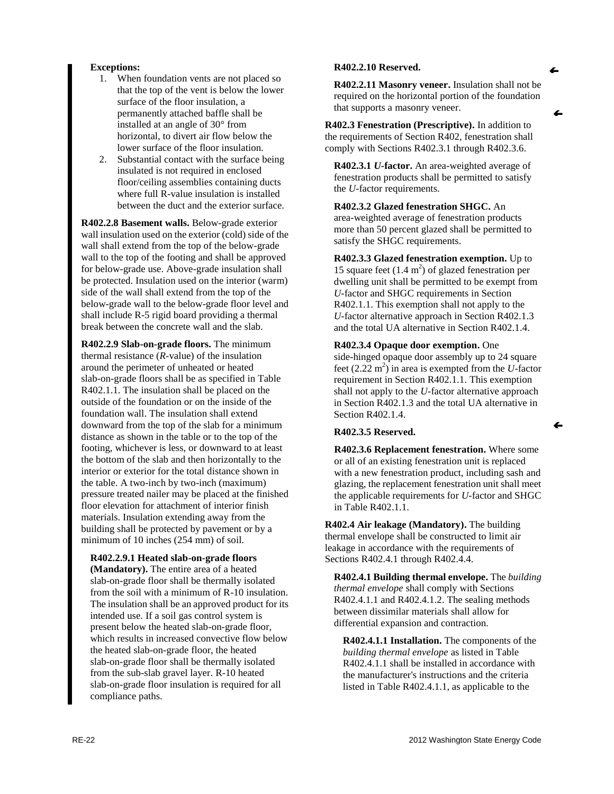#### **Exceptions:**

- 1. When foundation vents are not placed so that the top of the vent is below the lower surface of the floor insulation, a permanently attached baffle shall be installed at an angle of 30° from horizontal, to divert air flow below the lower surface of the floor insulation.
- 2. Substantial contact with the surface being insulated is not required in enclosed floor/ceiling assemblies containing ducts where full R-value insulation is installed between the duct and the exterior surface.

**R402.2.8 Basement walls.** Below-grade exterior wall insulation used on the exterior (cold) side of the wall shall extend from the top of the below-grade wall to the top of the footing and shall be approved for below-grade use. Above-grade insulation shall be protected. Insulation used on the interior (warm) side of the wall shall extend from the top of the below-grade wall to the below-grade floor level and shall include R-5 rigid board providing a thermal break between the concrete wall and the slab.

**R402.2.9 Slab-on-grade floors.** The minimum thermal resistance (*R*-value) of the insulation around the perimeter of unheated or heated slab-on-grade floors shall be as specified in Table R402.1.1. The insulation shall be placed on the outside of the foundation or on the inside of the foundation wall. The insulation shall extend downward from the top of the slab for a minimum distance as shown in the table or to the top of the footing, whichever is less, or downward to at least the bottom of the slab and then horizontally to the interior or exterior for the total distance shown in the table. A two-inch by two-inch (maximum) pressure treated nailer may be placed at the finished floor elevation for attachment of interior finish materials. Insulation extending away from the building shall be protected by pavement or by a minimum of 10 inches (254 mm) of soil.

**R402.2.9.1 Heated slab-on-grade floors (Mandatory).** The entire area of a heated slab-on-grade floor shall be thermally isolated from the soil with a minimum of R-10 insulation. The insulation shall be an approved product for its intended use. If a soil gas control system is present below the heated slab-on-grade floor, which results in increased convective flow below the heated slab-on-grade floor, the heated slab-on-grade floor shall be thermally isolated from the sub-slab gravel layer. R-10 heated slab-on-grade floor insulation is required for all compliance paths.

#### **R402.2.10 Reserved.**

**R402.2.11 Masonry veneer.** Insulation shall not be required on the horizontal portion of the foundation that supports a masonry veneer.

**R402.3 Fenestration (Prescriptive).** In addition to the requirements of Section R402, fenestration shall comply with Sections R402.3.1 through R402.3.6.

**R402.3.1** *U***-factor.** An area-weighted average of fenestration products shall be permitted to satisfy the *U*-factor requirements.

**R402.3.2 Glazed fenestration SHGC.** An area-weighted average of fenestration products more than 50 percent glazed shall be permitted to satisfy the SHGC requirements.

**R402.3.3 Glazed fenestration exemption.** Up to 15 square feet  $(1.4 \text{ m}^2)$  of glazed fenestration per dwelling unit shall be permitted to be exempt from *U*-factor and SHGC requirements in Section R402.1.1. This exemption shall not apply to the *U*-factor alternative approach in Section R402.1.3 and the total UA alternative in Section R402.1.4.

#### **R402.3.4 Opaque door exemption.** One

side-hinged opaque door assembly up to 24 square feet  $(2.22 \text{ m}^2)$  in area is exempted from the *U*-factor requirement in Section R402.1.1. This exemption shall not apply to the *U*-factor alternative approach in Section R402.1.3 and the total UA alternative in Section R402.1.4.

#### **R402.3.5 Reserved.**

**R402.3.6 Replacement fenestration.** Where some or all of an existing fenestration unit is replaced with a new fenestration product, including sash and glazing, the replacement fenestration unit shall meet the applicable requirements for *U*-factor and SHGC in Table R402.1.1.

**R402.4 Air leakage (Mandatory).** The building thermal envelope shall be constructed to limit air leakage in accordance with the requirements of Sections R402.4.1 through R402.4.4.

**R402.4.1 Building thermal envelope.** The *building thermal envelope* shall comply with Sections R402.4.1.1 and R402.4.1.2. The sealing methods between dissimilar materials shall allow for differential expansion and contraction.

**R402.4.1.1 Installation.** The components of the *building thermal envelope* as listed in Table R402.4.1.1 shall be installed in accordance with the manufacturer's instructions and the criteria listed in Table R402.4.1.1, as applicable to the

#### $\leftarrow$

←

←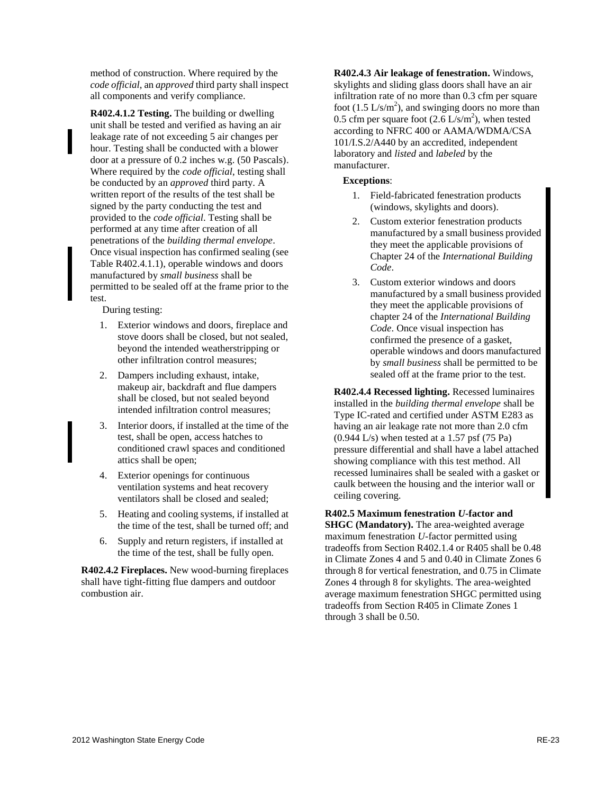method of construction. Where required by the *code official*, an *approved* third party shall inspect all components and verify compliance.

**R402.4.1.2 Testing.** The building or dwelling unit shall be tested and verified as having an air leakage rate of not exceeding 5 air changes per hour. Testing shall be conducted with a blower door at a pressure of 0.2 inches w.g. (50 Pascals). Where required by the *code official*, testing shall be conducted by an *approved* third party. A written report of the results of the test shall be signed by the party conducting the test and provided to the *code official*. Testing shall be performed at any time after creation of all penetrations of the *building thermal envelope*. Once visual inspection has confirmed sealing (see Table R402.4.1.1), operable windows and doors manufactured by *small business* shall be permitted to be sealed off at the frame prior to the test.

During testing:

- 1. Exterior windows and doors, fireplace and stove doors shall be closed, but not sealed, beyond the intended weatherstripping or other infiltration control measures;
- 2. Dampers including exhaust, intake, makeup air, backdraft and flue dampers shall be closed, but not sealed beyond intended infiltration control measures;
- 3. Interior doors, if installed at the time of the test, shall be open, access hatches to conditioned crawl spaces and conditioned attics shall be open;
- 4. Exterior openings for continuous ventilation systems and heat recovery ventilators shall be closed and sealed;
- 5. Heating and cooling systems, if installed at the time of the test, shall be turned off; and
- 6. Supply and return registers, if installed at the time of the test, shall be fully open.

**R402.4.2 Fireplaces.** New wood-burning fireplaces shall have tight-fitting flue dampers and outdoor combustion air.

**R402.4.3 Air leakage of fenestration.** Windows, skylights and sliding glass doors shall have an air infiltration rate of no more than 0.3 cfm per square foot  $(1.5 \text{ L/s/m}^2)$ , and swinging doors no more than 0.5 cfm per square foot  $(2.6 \text{ L/s/m}^2)$ , when tested according to NFRC 400 or AAMA/WDMA/CSA 101/I.S.2/A440 by an accredited, independent laboratory and *listed* and *labeled* by the manufacturer.

# **Exceptions**:

- 1. Field-fabricated fenestration products (windows, skylights and doors).
- 2. Custom exterior fenestration products manufactured by a small business provided they meet the applicable provisions of Chapter 24 of the *International Building Code*.
- 3. Custom exterior windows and doors manufactured by a small business provided they meet the applicable provisions of chapter 24 of the *International Building Code*. Once visual inspection has confirmed the presence of a gasket, operable windows and doors manufactured by *small business* shall be permitted to be sealed off at the frame prior to the test.

**R402.4.4 Recessed lighting.** Recessed luminaires installed in the *building thermal envelope* shall be Type IC-rated and certified under ASTM E283 as having an air leakage rate not more than 2.0 cfm  $(0.944 \text{ L/s})$  when tested at a 1.57 psf  $(75 \text{ Pa})$ pressure differential and shall have a label attached showing compliance with this test method. All recessed luminaires shall be sealed with a gasket or caulk between the housing and the interior wall or ceiling covering.

**R402.5 Maximum fenestration** *U***-factor and SHGC (Mandatory).** The area-weighted average maximum fenestration *U*-factor permitted using tradeoffs from Section R402.1.4 or R405 shall be 0.48 in Climate Zones 4 and 5 and 0.40 in Climate Zones 6 through 8 for vertical fenestration, and 0.75 in Climate Zones 4 through 8 for skylights. The area-weighted average maximum fenestration SHGC permitted using tradeoffs from Section R405 in Climate Zones 1 through 3 shall be 0.50.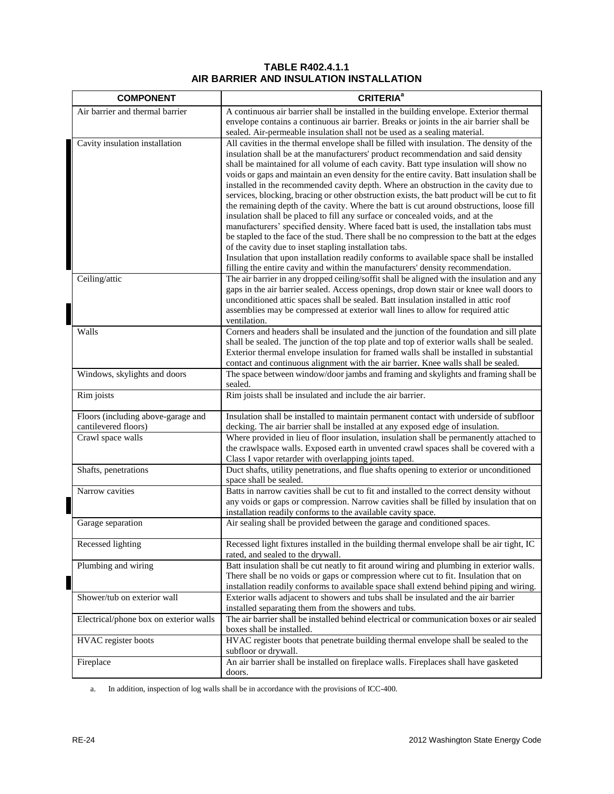# **TABLE R402.4.1.1 AIR BARRIER AND INSULATION INSTALLATION**

| <b>COMPONENT</b>                       | <b>CRITERIA<sup>a</sup></b>                                                                                                                                                        |
|----------------------------------------|------------------------------------------------------------------------------------------------------------------------------------------------------------------------------------|
| Air barrier and thermal barrier        | A continuous air barrier shall be installed in the building envelope. Exterior thermal                                                                                             |
|                                        | envelope contains a continuous air barrier. Breaks or joints in the air barrier shall be                                                                                           |
|                                        | sealed. Air-permeable insulation shall not be used as a sealing material.                                                                                                          |
| Cavity insulation installation         | All cavities in the thermal envelope shall be filled with insulation. The density of the                                                                                           |
|                                        | insulation shall be at the manufacturers' product recommendation and said density                                                                                                  |
|                                        | shall be maintained for all volume of each cavity. Batt type insulation will show no                                                                                               |
|                                        | voids or gaps and maintain an even density for the entire cavity. Batt insulation shall be<br>installed in the recommended cavity depth. Where an obstruction in the cavity due to |
|                                        | services, blocking, bracing or other obstruction exists, the batt product will be cut to fit                                                                                       |
|                                        | the remaining depth of the cavity. Where the batt is cut around obstructions, loose fill                                                                                           |
|                                        | insulation shall be placed to fill any surface or concealed voids, and at the                                                                                                      |
|                                        | manufacturers' specified density. Where faced batt is used, the installation tabs must                                                                                             |
|                                        | be stapled to the face of the stud. There shall be no compression to the batt at the edges                                                                                         |
|                                        | of the cavity due to inset stapling installation tabs.                                                                                                                             |
|                                        | Insulation that upon installation readily conforms to available space shall be installed                                                                                           |
|                                        | filling the entire cavity and within the manufacturers' density recommendation.                                                                                                    |
| Ceiling/attic                          | The air barrier in any dropped ceiling/soffit shall be aligned with the insulation and any                                                                                         |
|                                        | gaps in the air barrier sealed. Access openings, drop down stair or knee wall doors to                                                                                             |
|                                        | unconditioned attic spaces shall be sealed. Batt insulation installed in attic roof<br>assemblies may be compressed at exterior wall lines to allow for required attic             |
|                                        | ventilation.                                                                                                                                                                       |
| Walls                                  | Corners and headers shall be insulated and the junction of the foundation and sill plate                                                                                           |
|                                        | shall be sealed. The junction of the top plate and top of exterior walls shall be sealed.                                                                                          |
|                                        | Exterior thermal envelope insulation for framed walls shall be installed in substantial                                                                                            |
|                                        | contact and continuous alignment with the air barrier. Knee walls shall be sealed.                                                                                                 |
| Windows, skylights and doors           | The space between window/door jambs and framing and skylights and framing shall be                                                                                                 |
|                                        | sealed.                                                                                                                                                                            |
| Rim joists                             | Rim joists shall be insulated and include the air barrier.                                                                                                                         |
| Floors (including above-garage and     | Insulation shall be installed to maintain permanent contact with underside of subfloor                                                                                             |
| cantilevered floors)                   | decking. The air barrier shall be installed at any exposed edge of insulation.                                                                                                     |
| Crawl space walls                      | Where provided in lieu of floor insulation, insulation shall be permanently attached to                                                                                            |
|                                        | the crawlspace walls. Exposed earth in unvented crawl spaces shall be covered with a                                                                                               |
|                                        | Class I vapor retarder with overlapping joints taped.                                                                                                                              |
| Shafts, penetrations                   | Duct shafts, utility penetrations, and flue shafts opening to exterior or unconditioned<br>space shall be sealed.                                                                  |
| Narrow cavities                        | Batts in narrow cavities shall be cut to fit and installed to the correct density without                                                                                          |
|                                        | any voids or gaps or compression. Narrow cavities shall be filled by insulation that on                                                                                            |
|                                        | installation readily conforms to the available cavity space.                                                                                                                       |
| Garage separation                      | Air sealing shall be provided between the garage and conditioned spaces.                                                                                                           |
|                                        |                                                                                                                                                                                    |
| Recessed lighting                      | Recessed light fixtures installed in the building thermal envelope shall be air tight, IC                                                                                          |
|                                        | rated, and sealed to the drywall.                                                                                                                                                  |
| Plumbing and wiring                    | Batt insulation shall be cut neatly to fit around wiring and plumbing in exterior walls.                                                                                           |
|                                        | There shall be no voids or gaps or compression where cut to fit. Insulation that on                                                                                                |
| Shower/tub on exterior wall            | installation readily conforms to available space shall extend behind piping and wiring.<br>Exterior walls adjacent to showers and tubs shall be insulated and the air barrier      |
|                                        | installed separating them from the showers and tubs.                                                                                                                               |
| Electrical/phone box on exterior walls | The air barrier shall be installed behind electrical or communication boxes or air sealed                                                                                          |
|                                        | boxes shall be installed.                                                                                                                                                          |
| HVAC register boots                    | HVAC register boots that penetrate building thermal envelope shall be sealed to the                                                                                                |
|                                        | subfloor or drywall.                                                                                                                                                               |
| Fireplace                              | An air barrier shall be installed on fireplace walls. Fireplaces shall have gasketed                                                                                               |
|                                        | doors.                                                                                                                                                                             |

a. In addition, inspection of log walls shall be in accordance with the provisions of ICC-400.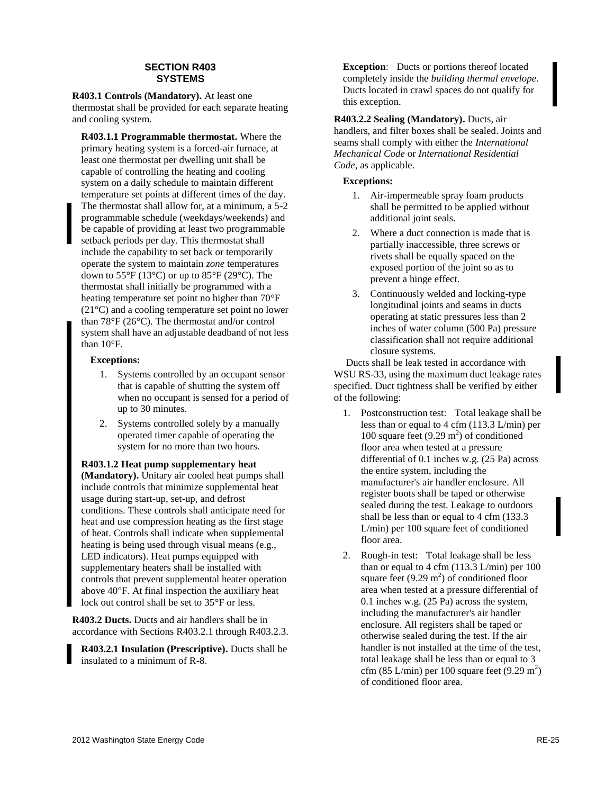#### **SECTION R403 SYSTEMS**

**R403.1 Controls (Mandatory).** At least one thermostat shall be provided for each separate heating and cooling system.

**R403.1.1 Programmable thermostat.** Where the primary heating system is a forced-air furnace, at least one thermostat per dwelling unit shall be capable of controlling the heating and cooling system on a daily schedule to maintain different temperature set points at different times of the day. The thermostat shall allow for, at a minimum, a 5-2 programmable schedule (weekdays/weekends) and be capable of providing at least two programmable setback periods per day. This thermostat shall include the capability to set back or temporarily operate the system to maintain *zone* temperatures down to  $55^{\circ}F(13^{\circ}C)$  or up to  $85^{\circ}F(29^{\circ}C)$ . The thermostat shall initially be programmed with a heating temperature set point no higher than 70°F (21°C) and a cooling temperature set point no lower than 78°F (26°C). The thermostat and/or control system shall have an adjustable deadband of not less than 10°F.

#### **Exceptions:**

- 1. Systems controlled by an occupant sensor that is capable of shutting the system off when no occupant is sensed for a period of up to 30 minutes.
- 2. Systems controlled solely by a manually operated timer capable of operating the system for no more than two hours.

#### **R403.1.2 Heat pump supplementary heat**

**(Mandatory).** Unitary air cooled heat pumps shall include controls that minimize supplemental heat usage during start-up, set-up, and defrost conditions. These controls shall anticipate need for heat and use compression heating as the first stage of heat. Controls shall indicate when supplemental heating is being used through visual means (e.g., LED indicators). Heat pumps equipped with supplementary heaters shall be installed with controls that prevent supplemental heater operation above 40°F. At final inspection the auxiliary heat lock out control shall be set to 35°F or less.

**R403.2 Ducts.** Ducts and air handlers shall be in accordance with Sections R403.2.1 through R403.2.3.

**R403.2.1 Insulation (Prescriptive).** Ducts shall be insulated to a minimum of R-8.

**Exception**: Ducts or portions thereof located completely inside the *building thermal envelope*. Ducts located in crawl spaces do not qualify for this exception.

**R403.2.2 Sealing (Mandatory).** Ducts, air handlers, and filter boxes shall be sealed. Joints and seams shall comply with either the *International Mechanical Code* or *International Residential Code*, as applicable.

### **Exceptions:**

- 1. Air-impermeable spray foam products shall be permitted to be applied without additional joint seals.
- 2. Where a duct connection is made that is partially inaccessible, three screws or rivets shall be equally spaced on the exposed portion of the joint so as to prevent a hinge effect.
- 3. Continuously welded and locking-type longitudinal joints and seams in ducts operating at static pressures less than 2 inches of water column (500 Pa) pressure classification shall not require additional closure systems.

 Ducts shall be leak tested in accordance with WSU RS-33, using the maximum duct leakage rates specified. Duct tightness shall be verified by either of the following:

- 1. Postconstruction test: Total leakage shall be less than or equal to 4 cfm (113.3 L/min) per 100 square feet  $(9.29 \text{ m}^2)$  of conditioned floor area when tested at a pressure differential of 0.1 inches w.g. (25 Pa) across the entire system, including the manufacturer's air handler enclosure. All register boots shall be taped or otherwise sealed during the test. Leakage to outdoors shall be less than or equal to 4 cfm (133.3 L/min) per 100 square feet of conditioned floor area.
- 2. Rough-in test: Total leakage shall be less than or equal to 4 cfm  $(113.3 \text{ L/min})$  per 100 square feet  $(9.29 \text{ m}^2)$  of conditioned floor area when tested at a pressure differential of 0.1 inches w.g. (25 Pa) across the system, including the manufacturer's air handler enclosure. All registers shall be taped or otherwise sealed during the test. If the air handler is not installed at the time of the test, total leakage shall be less than or equal to 3 cfm (85 L/min) per 100 square feet  $(9.29 \text{ m}^2)$ of conditioned floor area.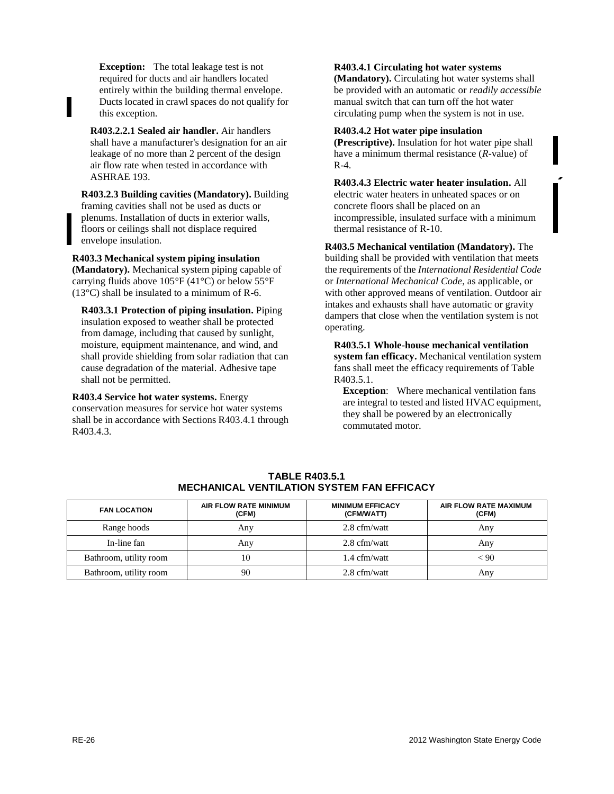**Exception:** The total leakage test is not required for ducts and air handlers located entirely within the building thermal envelope. Ducts located in crawl spaces do not qualify for this exception.

**R403.2.2.1 Sealed air handler.** Air handlers shall have a manufacturer's designation for an air leakage of no more than 2 percent of the design air flow rate when tested in accordance with ASHRAE 193.

**R403.2.3 Building cavities (Mandatory).** Building framing cavities shall not be used as ducts or plenums. Installation of ducts in exterior walls, floors or ceilings shall not displace required envelope insulation.

**R403.3 Mechanical system piping insulation (Mandatory).** Mechanical system piping capable of carrying fluids above 105°F (41°C) or below 55°F  $(13^{\circ}$ C) shall be insulated to a minimum of R-6.

**R403.3.1 Protection of piping insulation.** Piping insulation exposed to weather shall be protected from damage, including that caused by sunlight, moisture, equipment maintenance, and wind, and shall provide shielding from solar radiation that can cause degradation of the material. Adhesive tape shall not be permitted.

**R403.4 Service hot water systems.** Energy conservation measures for service hot water systems shall be in accordance with Sections R403.4.1 through R403.4.3.

**R403.4.1 Circulating hot water systems** 

**(Mandatory).** Circulating hot water systems shall be provided with an automatic or *readily accessible* manual switch that can turn off the hot water circulating pump when the system is not in use.

**R403.4.2 Hot water pipe insulation** 

**(Prescriptive).** Insulation for hot water pipe shall have a minimum thermal resistance (*R*-value) of  $R-4$ 

**R403.4.3 Electric water heater insulation.** All electric water heaters in unheated spaces or on concrete floors shall be placed on an incompressible, insulated surface with a minimum thermal resistance of R-10.

Ű.

**R403.5 Mechanical ventilation (Mandatory).** The building shall be provided with ventilation that meets the requirements of the *International Residential Code* or *International Mechanical Code*, as applicable, or with other approved means of ventilation. Outdoor air intakes and exhausts shall have automatic or gravity dampers that close when the ventilation system is not operating.

**R403.5.1 Whole-house mechanical ventilation system fan efficacy.** Mechanical ventilation system fans shall meet the efficacy requirements of Table R403.5.1.

**Exception**: Where mechanical ventilation fans are integral to tested and listed HVAC equipment, they shall be powered by an electronically commutated motor.

| <b>FAN LOCATION</b>    | <b>AIR FLOW RATE MINIMUM</b><br>(CFM) | <b>MINIMUM EFFICACY</b><br>(CFM/WATT) | AIR FLOW RATE MAXIMUM<br>(CFM) |
|------------------------|---------------------------------------|---------------------------------------|--------------------------------|
| Range hoods            | Any                                   | 2.8 cfm/watt                          | Any                            |
| In-line fan            | Any                                   | 2.8 cfm/watt                          | Any                            |
| Bathroom, utility room | 10                                    | 1.4 cfm/watt                          | < 90                           |
| Bathroom, utility room | 90                                    | 2.8 cfm/watt                          | Any                            |

# **TABLE R403.5.1 MECHANICAL VENTILATION SYSTEM FAN EFFICACY**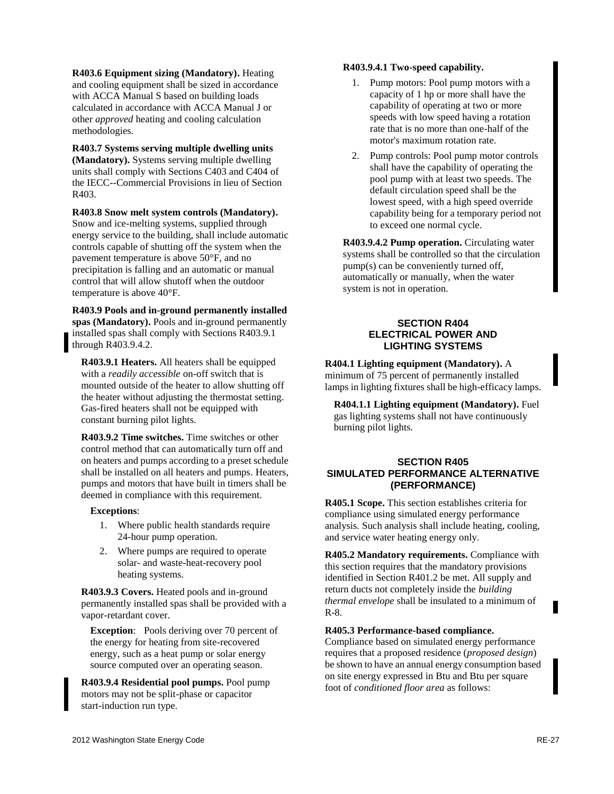**R403.6 Equipment sizing (Mandatory).** Heating and cooling equipment shall be sized in accordance with ACCA Manual S based on building loads calculated in accordance with ACCA Manual J or other *approved* heating and cooling calculation methodologies.

**R403.7 Systems serving multiple dwelling units (Mandatory).** Systems serving multiple dwelling units shall comply with Sections C403 and C404 of the IECC--Commercial Provisions in lieu of Section R403.

**R403.8 Snow melt system controls (Mandatory).**  Snow and ice-melting systems, supplied through energy service to the building, shall include automatic controls capable of shutting off the system when the pavement temperature is above 50°F, and no precipitation is falling and an automatic or manual control that will allow shutoff when the outdoor temperature is above 40°F.

**R403.9 Pools and in-ground permanently installed spas (Mandatory).** Pools and in-ground permanently installed spas shall comply with Sections R403.9.1 through R403.9.4.2.

**R403.9.1 Heaters.** All heaters shall be equipped with a *readily accessible* on-off switch that is mounted outside of the heater to allow shutting off the heater without adjusting the thermostat setting. Gas-fired heaters shall not be equipped with constant burning pilot lights.

**R403.9.2 Time switches.** Time switches or other control method that can automatically turn off and on heaters and pumps according to a preset schedule shall be installed on all heaters and pumps. Heaters, pumps and motors that have built in timers shall be deemed in compliance with this requirement.

#### **Exceptions**:

- 1. Where public health standards require 24-hour pump operation.
- 2. Where pumps are required to operate solar- and waste-heat-recovery pool heating systems.

**R403.9.3 Covers.** Heated pools and in-ground permanently installed spas shall be provided with a vapor-retardant cover.

**Exception:** Pools deriving over 70 percent of the energy for heating from site-recovered energy, such as a heat pump or solar energy source computed over an operating season.

**R403.9.4 Residential pool pumps.** Pool pump motors may not be split-phase or capacitor start-induction run type.

#### **R403.9.4.1 Two-speed capability.**

- 1. Pump motors: Pool pump motors with a capacity of 1 hp or more shall have the capability of operating at two or more speeds with low speed having a rotation rate that is no more than one-half of the motor's maximum rotation rate.
- 2. Pump controls: Pool pump motor controls shall have the capability of operating the pool pump with at least two speeds. The default circulation speed shall be the lowest speed, with a high speed override capability being for a temporary period not to exceed one normal cycle.

**R403.9.4.2 Pump operation.** Circulating water systems shall be controlled so that the circulation pump(s) can be conveniently turned off, automatically or manually, when the water system is not in operation.

# **SECTION R404 ELECTRICAL POWER AND LIGHTING SYSTEMS**

**R404.1 Lighting equipment (Mandatory).** A minimum of 75 percent of permanently installed lamps in lighting fixtures shall be high-efficacy lamps.

**R404.1.1 Lighting equipment (Mandatory).** Fuel gas lighting systems shall not have continuously burning pilot lights.

### **SECTION R405 SIMULATED PERFORMANCE ALTERNATIVE (PERFORMANCE)**

**R405.1 Scope.** This section establishes criteria for compliance using simulated energy performance analysis. Such analysis shall include heating, cooling, and service water heating energy only.

**R405.2 Mandatory requirements.** Compliance with this section requires that the mandatory provisions identified in Section R401.2 be met. All supply and return ducts not completely inside the *building thermal envelope* shall be insulated to a minimum of R-8.

#### **R405.3 Performance-based compliance.**

Compliance based on simulated energy performance requires that a proposed residence (*proposed design*) be shown to have an annual energy consumption based on site energy expressed in Btu and Btu per square foot of *conditioned floor area* as follows: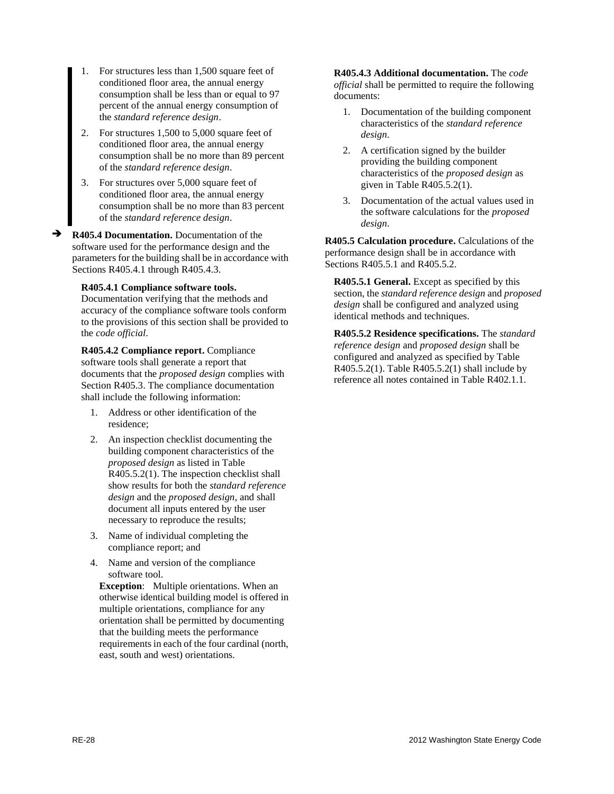- 1. For structures less than 1,500 square feet of conditioned floor area, the annual energy consumption shall be less than or equal to 97 percent of the annual energy consumption of the *standard reference design*.
- 2. For structures 1,500 to 5,000 square feet of conditioned floor area, the annual energy consumption shall be no more than 89 percent of the *standard reference design*.
- 3. For structures over 5,000 square feet of conditioned floor area, the annual energy consumption shall be no more than 83 percent of the *standard reference design*.
- **R405.4 Documentation.** Documentation of the software used for the performance design and the parameters for the building shall be in accordance with Sections R405.4.1 through R405.4.3. →

#### **R405.4.1 Compliance software tools.**

Documentation verifying that the methods and accuracy of the compliance software tools conform to the provisions of this section shall be provided to the *code official*.

**R405.4.2 Compliance report.** Compliance software tools shall generate a report that documents that the *proposed design* complies with Section R405.3. The compliance documentation shall include the following information:

- 1. Address or other identification of the residence;
- 2. An inspection checklist documenting the building component characteristics of the *proposed design* as listed in Table R405.5.2(1). The inspection checklist shall show results for both the *standard reference design* and the *proposed design*, and shall document all inputs entered by the user necessary to reproduce the results;
- 3. Name of individual completing the compliance report; and
- 4. Name and version of the compliance software tool.

**Exception**: Multiple orientations. When an otherwise identical building model is offered in multiple orientations, compliance for any orientation shall be permitted by documenting that the building meets the performance requirements in each of the four cardinal (north, east, south and west) orientations.

**R405.4.3 Additional documentation.** The *code official* shall be permitted to require the following documents:

- 1. Documentation of the building component characteristics of the *standard reference design*.
- 2. A certification signed by the builder providing the building component characteristics of the *proposed design* as given in Table R405.5.2(1).
- 3. Documentation of the actual values used in the software calculations for the *proposed design*.

**R405.5 Calculation procedure.** Calculations of the performance design shall be in accordance with Sections R405.5.1 and R405.5.2.

**R405.5.1 General.** Except as specified by this section, the *standard reference design* and *proposed design* shall be configured and analyzed using identical methods and techniques.

**R405.5.2 Residence specifications.** The *standard reference design* and *proposed design* shall be configured and analyzed as specified by Table R405.5.2(1). Table R405.5.2(1) shall include by reference all notes contained in Table R402.1.1.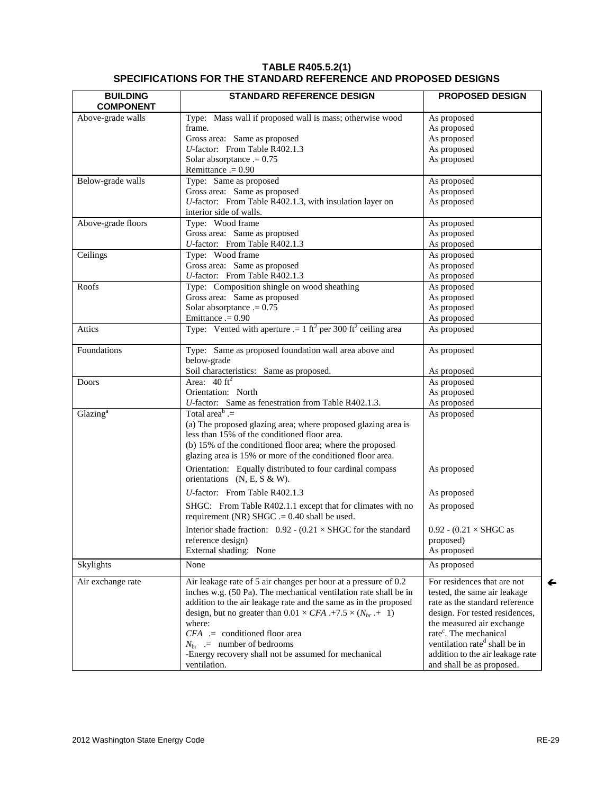# **TABLE R405.5.2(1) SPECIFICATIONS FOR THE STANDARD REFERENCE AND PROPOSED DESIGNS**

| <b>BUILDING</b><br><b>COMPONENT</b> | <b>STANDARD REFERENCE DESIGN</b>                                                   | <b>PROPOSED DESIGN</b>                    |
|-------------------------------------|------------------------------------------------------------------------------------|-------------------------------------------|
| Above-grade walls                   | Type: Mass wall if proposed wall is mass; otherwise wood                           | As proposed                               |
|                                     | frame.                                                                             | As proposed                               |
|                                     | Gross area: Same as proposed                                                       | As proposed                               |
|                                     | U-factor: From Table R402.1.3                                                      | As proposed                               |
|                                     | Solar absorptance $= 0.75$                                                         | As proposed                               |
|                                     | Remittance $= 0.90$                                                                |                                           |
| Below-grade walls                   | Type: Same as proposed                                                             | As proposed                               |
|                                     | Gross area: Same as proposed                                                       | As proposed                               |
|                                     | U-factor: From Table R402.1.3, with insulation layer on                            | As proposed                               |
|                                     | interior side of walls.                                                            |                                           |
| Above-grade floors                  | Type: Wood frame                                                                   | As proposed                               |
|                                     | Gross area: Same as proposed                                                       | As proposed                               |
|                                     | U-factor: From Table R402.1.3                                                      | As proposed                               |
| Ceilings                            | Type: Wood frame                                                                   | As proposed                               |
|                                     | Gross area: Same as proposed                                                       | As proposed                               |
|                                     | U-factor: From Table R402.1.3                                                      | As proposed                               |
| Roofs                               | Type: Composition shingle on wood sheathing                                        | As proposed                               |
|                                     | Gross area: Same as proposed                                                       | As proposed                               |
|                                     | Solar absorptance $= 0.75$                                                         | As proposed                               |
|                                     | Emittance $= 0.90$                                                                 | As proposed                               |
| Attics                              | Type: Vented with aperture $= 1 \text{ ft}^2$ per 300 ft <sup>2</sup> ceiling area | As proposed                               |
| Foundations                         | Type: Same as proposed foundation wall area above and                              | As proposed                               |
|                                     | below-grade<br>Soil characteristics: Same as proposed.                             |                                           |
| Doors                               | Area: $40 \text{ ft}^2$                                                            | As proposed                               |
|                                     | Orientation: North                                                                 | As proposed                               |
|                                     | U-factor: Same as fenestration from Table R402.1.3.                                | As proposed<br>As proposed                |
| Glazing <sup>a</sup>                | Total area <sup>b</sup> .=                                                         | As proposed                               |
|                                     | (a) The proposed glazing area; where proposed glazing area is                      |                                           |
|                                     | less than 15% of the conditioned floor area.                                       |                                           |
|                                     | (b) 15% of the conditioned floor area; where the proposed                          |                                           |
|                                     | glazing area is 15% or more of the conditioned floor area.                         |                                           |
|                                     | Orientation: Equally distributed to four cardinal compass                          |                                           |
|                                     | orientations (N, E, S & W).                                                        | As proposed                               |
|                                     | U-factor: From Table R402.1.3                                                      | As proposed                               |
|                                     | SHGC: From Table R402.1.1 except that for climates with no                         | As proposed                               |
|                                     | requirement (NR) SHGC $= 0.40$ shall be used.                                      |                                           |
|                                     | Interior shade fraction: $0.92 - (0.21 \times SHGC)$ for the standard              | 0.92 - $(0.21 \times SHGC)$ as            |
|                                     | reference design)                                                                  | proposed)                                 |
|                                     | External shading: None                                                             | As proposed                               |
| Skylights                           | None                                                                               | As proposed                               |
| Air exchange rate                   | Air leakage rate of 5 air changes per hour at a pressure of 0.2                    | For residences that are not               |
|                                     | inches w.g. (50 Pa). The mechanical ventilation rate shall be in                   | tested, the same air leakage              |
|                                     | addition to the air leakage rate and the same as in the proposed                   | rate as the standard reference            |
|                                     | design, but no greater than $0.01 \times CFA. +7.5 \times (N_{br}.+ 1)$            | design. For tested residences,            |
|                                     | where:                                                                             | the measured air exchange                 |
|                                     | $CFA$ = conditioned floor area                                                     | rate <sup>c</sup> . The mechanical        |
|                                     | $N_{\text{br}}$ = number of bedrooms                                               | ventilation rate <sup>d</sup> shall be in |
|                                     | -Energy recovery shall not be assumed for mechanical                               | addition to the air leakage rate          |
|                                     | ventilation.                                                                       | and shall be as proposed.                 |

 $\leftarrow$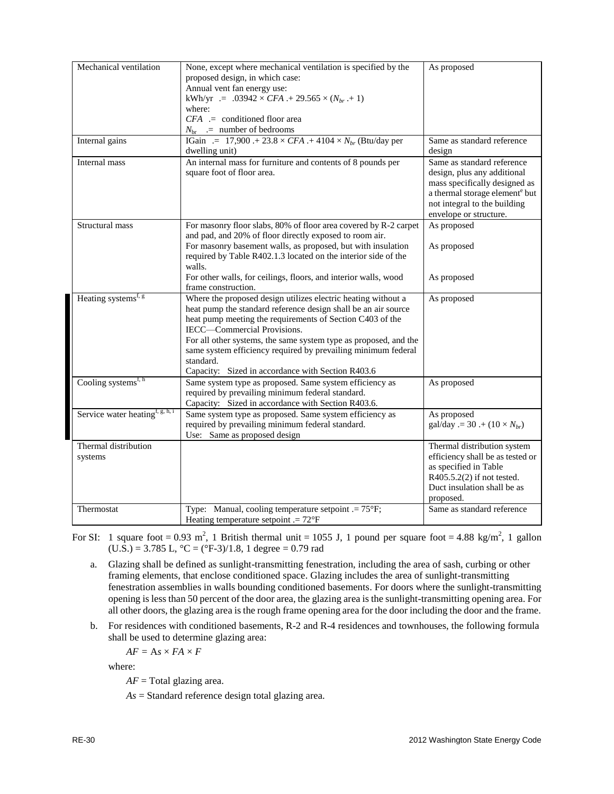| Mechanical ventilation                      | None, except where mechanical ventilation is specified by the    | As proposed                                |
|---------------------------------------------|------------------------------------------------------------------|--------------------------------------------|
|                                             | proposed design, in which case:                                  |                                            |
|                                             | Annual vent fan energy use:                                      |                                            |
|                                             | kWh/yr = $.03942 \times CFA + 29.565 \times (N_{br} + 1)$        |                                            |
|                                             | where:                                                           |                                            |
|                                             | $CFA$ = conditioned floor area                                   |                                            |
|                                             | $N_{\rm br}$ = number of bedrooms                                |                                            |
| Internal gains                              | IGain = 17,900 + 23.8 × $CFA + 4104 \times N_{br}$ (Btu/day per  | Same as standard reference                 |
|                                             | dwelling unit)                                                   | design                                     |
| Internal mass                               | An internal mass for furniture and contents of 8 pounds per      | Same as standard reference                 |
|                                             | square foot of floor area.                                       | design, plus any additional                |
|                                             |                                                                  | mass specifically designed as              |
|                                             |                                                                  | a thermal storage element <sup>e</sup> but |
|                                             |                                                                  | not integral to the building               |
|                                             |                                                                  | envelope or structure.                     |
| Structural mass                             | For masonry floor slabs, 80% of floor area covered by R-2 carpet | As proposed                                |
|                                             | and pad, and 20% of floor directly exposed to room air.          |                                            |
|                                             | For masonry basement walls, as proposed, but with insulation     | As proposed                                |
|                                             | required by Table R402.1.3 located on the interior side of the   |                                            |
|                                             | walls.                                                           |                                            |
|                                             | For other walls, for ceilings, floors, and interior walls, wood  | As proposed                                |
|                                             | frame construction.                                              |                                            |
| Heating systems <sup>f, g</sup>             | Where the proposed design utilizes electric heating without a    | As proposed                                |
|                                             | heat pump the standard reference design shall be an air source   |                                            |
|                                             | heat pump meeting the requirements of Section C403 of the        |                                            |
|                                             | IECC-Commercial Provisions.                                      |                                            |
|                                             | For all other systems, the same system type as proposed, and the |                                            |
|                                             | same system efficiency required by prevailing minimum federal    |                                            |
|                                             | standard.                                                        |                                            |
|                                             | Capacity: Sized in accordance with Section R403.6                |                                            |
| Cooling systems <sup>f, h</sup>             | Same system type as proposed. Same system efficiency as          | As proposed                                |
|                                             | required by prevailing minimum federal standard.                 |                                            |
|                                             | Capacity: Sized in accordance with Section R403.6.               |                                            |
| Service water heating <sup>f, g, h, i</sup> | Same system type as proposed. Same system efficiency as          | As proposed                                |
|                                             | required by prevailing minimum federal standard.                 | $\text{gal/day} = 30 + (10 \times N_{br})$ |
|                                             | Use: Same as proposed design                                     |                                            |
| Thermal distribution                        |                                                                  | Thermal distribution system                |
| systems                                     |                                                                  | efficiency shall be as tested or           |
|                                             |                                                                  | as specified in Table                      |
|                                             |                                                                  | $R405.5.2(2)$ if not tested.               |
|                                             |                                                                  | Duct insulation shall be as                |
|                                             |                                                                  | proposed.                                  |
| Thermostat                                  | Type: Manual, cooling temperature setpoint $. = 75^{\circ}F$ ;   | Same as standard reference                 |
|                                             | Heating temperature setpoint $= 72^{\circ}F$                     |                                            |

- For SI: 1 square foot = 0.93 m<sup>2</sup>, 1 British thermal unit = 1055 J, 1 pound per square foot = 4.88 kg/m<sup>2</sup>, 1 gallon  $(U.S.) = 3.785$  L,  $^{\circ}C = (^{\circ}F-3)/1.8$ , 1 degree = 0.79 rad
	- a. Glazing shall be defined as sunlight-transmitting fenestration, including the area of sash, curbing or other framing elements, that enclose conditioned space. Glazing includes the area of sunlight-transmitting fenestration assemblies in walls bounding conditioned basements. For doors where the sunlight-transmitting opening is less than 50 percent of the door area, the glazing area is the sunlight-transmitting opening area. For all other doors, the glazing area is the rough frame opening area for the door including the door and the frame.
	- b. For residences with conditioned basements, R-2 and R-4 residences and townhouses, the following formula shall be used to determine glazing area:

 $AF = As \times FA \times F$ 

where:

 $AF = Total$  glazing area.

 $As = Standard$  reference design total glazing area.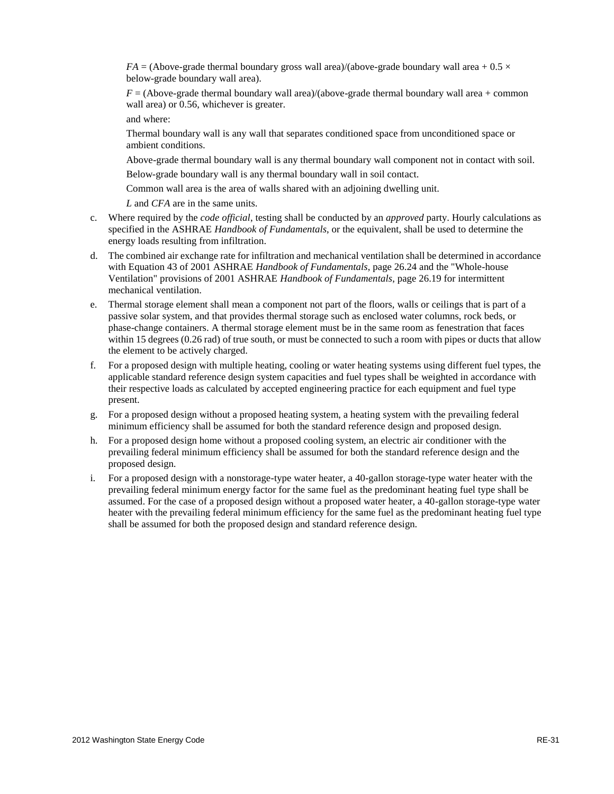$FA = (Above-grade thermal boundary gross wall area)/(above-grade boundary wall area + 0.5 \times$ below-grade boundary wall area).

 $F = (Above-grade thermal boundary wall area)/(above-grade thermal boundary wall area + common)$ wall area) or 0.56, whichever is greater.

and where:

Thermal boundary wall is any wall that separates conditioned space from unconditioned space or ambient conditions.

Above-grade thermal boundary wall is any thermal boundary wall component not in contact with soil. Below-grade boundary wall is any thermal boundary wall in soil contact.

Common wall area is the area of walls shared with an adjoining dwelling unit.

*L* and *CFA* are in the same units.

- c. Where required by the *code official*, testing shall be conducted by an *approved* party. Hourly calculations as specified in the ASHRAE *Handbook of Fundamentals*, or the equivalent, shall be used to determine the energy loads resulting from infiltration.
- d. The combined air exchange rate for infiltration and mechanical ventilation shall be determined in accordance with Equation 43 of 2001 ASHRAE *Handbook of Fundamentals*, page 26.24 and the "Whole-house Ventilation" provisions of 2001 ASHRAE *Handbook of Fundamentals*, page 26.19 for intermittent mechanical ventilation.
- e. Thermal storage element shall mean a component not part of the floors, walls or ceilings that is part of a passive solar system, and that provides thermal storage such as enclosed water columns, rock beds, or phase-change containers. A thermal storage element must be in the same room as fenestration that faces within 15 degrees (0.26 rad) of true south, or must be connected to such a room with pipes or ducts that allow the element to be actively charged.
- f. For a proposed design with multiple heating, cooling or water heating systems using different fuel types, the applicable standard reference design system capacities and fuel types shall be weighted in accordance with their respective loads as calculated by accepted engineering practice for each equipment and fuel type present.
- g. For a proposed design without a proposed heating system, a heating system with the prevailing federal minimum efficiency shall be assumed for both the standard reference design and proposed design.
- h. For a proposed design home without a proposed cooling system, an electric air conditioner with the prevailing federal minimum efficiency shall be assumed for both the standard reference design and the proposed design.
- i. For a proposed design with a nonstorage-type water heater, a 40-gallon storage-type water heater with the prevailing federal minimum energy factor for the same fuel as the predominant heating fuel type shall be assumed. For the case of a proposed design without a proposed water heater, a 40-gallon storage-type water heater with the prevailing federal minimum efficiency for the same fuel as the predominant heating fuel type shall be assumed for both the proposed design and standard reference design.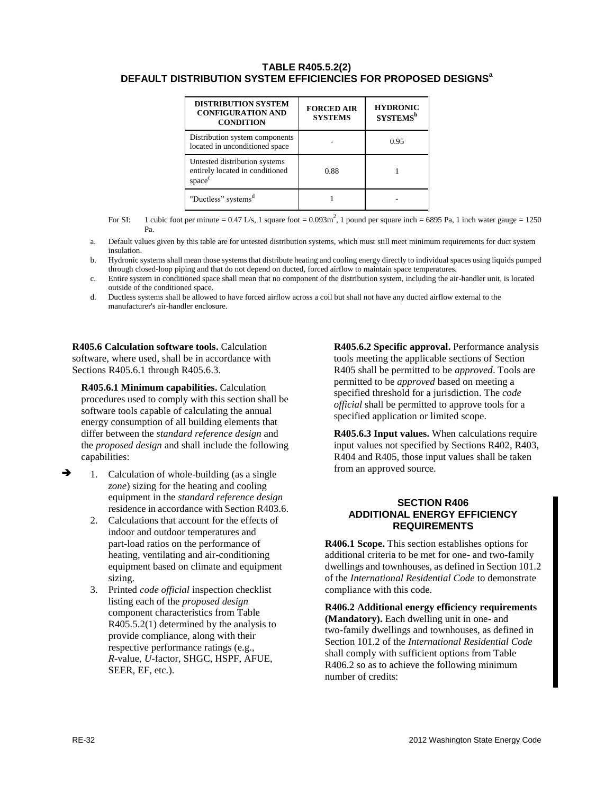#### **TABLE R405.5.2(2) DEFAULT DISTRIBUTION SYSTEM EFFICIENCIES FOR PROPOSED DESIGNS<sup>a</sup>**

| <b>DISTRIBUTION SYSTEM</b><br><b>CONFIGURATION AND</b><br><b>CONDITION</b>             | <b>FORCED AIR</b><br><b>SYSTEMS</b> | <b>HYDRONIC</b><br><b>SYSTEMS</b> <sup>b</sup> |
|----------------------------------------------------------------------------------------|-------------------------------------|------------------------------------------------|
| Distribution system components<br>located in unconditioned space                       |                                     | 0.95                                           |
| Untested distribution systems<br>entirely located in conditioned<br>space <sup>c</sup> | 0.88                                |                                                |
| "Ductless" systems <sup>d</sup>                                                        |                                     |                                                |

For SI: 1 cubic foot per minute = 0.47 L/s, 1 square foot = 0.093m<sup>2</sup>, 1 pound per square inch = 6895 Pa, 1 inch water gauge = 1250 Pa.

- a. Default values given by this table are for untested distribution systems, which must still meet minimum requirements for duct system insulation.
- b. Hydronic systems shall mean those systems that distribute heating and cooling energy directly to individual spaces using liquids pumped through closed-loop piping and that do not depend on ducted, forced airflow to maintain space temperatures.
- c. Entire system in conditioned space shall mean that no component of the distribution system, including the air-handler unit, is located outside of the conditioned space.
- d. Ductless systems shall be allowed to have forced airflow across a coil but shall not have any ducted airflow external to the manufacturer's air-handler enclosure.

**R405.6 Calculation software tools.** Calculation software, where used, shall be in accordance with Sections R405.6.1 through R405.6.3.

**R405.6.1 Minimum capabilities.** Calculation procedures used to comply with this section shall be software tools capable of calculating the annual energy consumption of all building elements that differ between the *standard reference design* and the *proposed design* and shall include the following capabilities:

- 1. Calculation of whole-building (as a single *zone*) sizing for the heating and cooling equipment in the *standard reference design* residence in accordance with Section R403.6.  $\blacktriangle$ 
	- 2. Calculations that account for the effects of indoor and outdoor temperatures and part-load ratios on the performance of heating, ventilating and air-conditioning equipment based on climate and equipment sizing.
	- 3. Printed *code official* inspection checklist listing each of the *proposed design* component characteristics from Table R405.5.2(1) determined by the analysis to provide compliance, along with their respective performance ratings (e.g., *R*-value, *U*-factor, SHGC, HSPF, AFUE, SEER, EF, etc.).

**R405.6.2 Specific approval.** Performance analysis tools meeting the applicable sections of Section R405 shall be permitted to be *approved*. Tools are permitted to be *approved* based on meeting a specified threshold for a jurisdiction. The *code official* shall be permitted to approve tools for a specified application or limited scope.

**R405.6.3 Input values.** When calculations require input values not specified by Sections R402, R403, R404 and R405, those input values shall be taken from an approved source.

# **SECTION R406 ADDITIONAL ENERGY EFFICIENCY REQUIREMENTS**

**R406.1 Scope.** This section establishes options for additional criteria to be met for one- and two-family dwellings and townhouses, as defined in Section 101.2 of the *International Residential Code* to demonstrate compliance with this code.

**R406.2 Additional energy efficiency requirements (Mandatory).** Each dwelling unit in one- and two-family dwellings and townhouses, as defined in Section 101.2 of the *International Residential Code* shall comply with sufficient options from Table R406.2 so as to achieve the following minimum number of credits: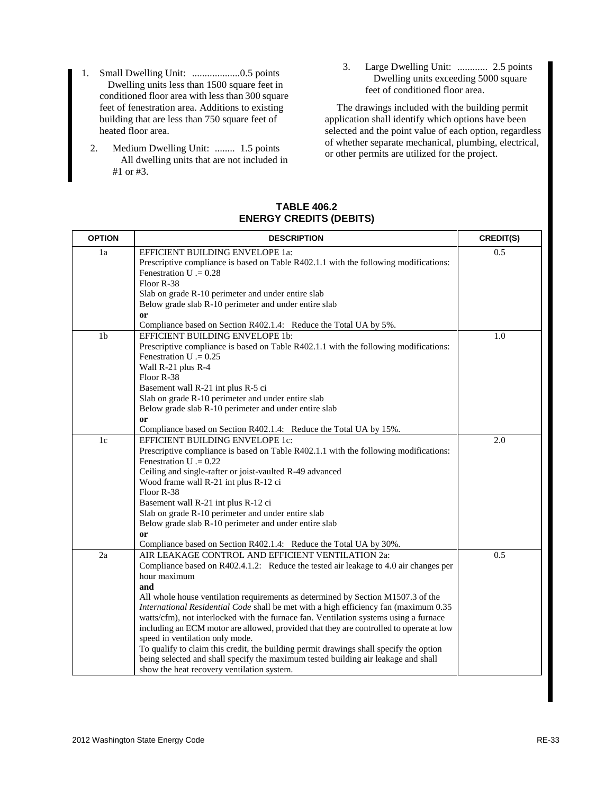- 1. Small Dwelling Unit: ...................0.5 points Dwelling units less than 1500 square feet in conditioned floor area with less than 300 square feet of fenestration area. Additions to existing building that are less than 750 square feet of heated floor area.
	- 2. Medium Dwelling Unit: ........ 1.5 points All dwelling units that are not included in #1 or #3.
- 3. Large Dwelling Unit: ............ 2.5 points Dwelling units exceeding 5000 square feet of conditioned floor area.

 The drawings included with the building permit application shall identify which options have been selected and the point value of each option, regardless of whether separate mechanical, plumbing, electrical, or other permits are utilized for the project.

# **TABLE 406.2 ENERGY CREDITS (DEBITS)**

| <b>OPTION</b>  | <b>DESCRIPTION</b>                                                                                                                                                                                                                                                                                                                                                                                                                                                                                                                                                                                                                                                                                                                                                                                | <b>CREDIT(S)</b> |
|----------------|---------------------------------------------------------------------------------------------------------------------------------------------------------------------------------------------------------------------------------------------------------------------------------------------------------------------------------------------------------------------------------------------------------------------------------------------------------------------------------------------------------------------------------------------------------------------------------------------------------------------------------------------------------------------------------------------------------------------------------------------------------------------------------------------------|------------------|
| 1a             | EFFICIENT BUILDING ENVELOPE 1a:<br>Prescriptive compliance is based on Table R402.1.1 with the following modifications:<br>Fenestration $U = 0.28$<br>Floor R-38                                                                                                                                                                                                                                                                                                                                                                                                                                                                                                                                                                                                                                  | 0.5              |
|                | Slab on grade R-10 perimeter and under entire slab<br>Below grade slab R-10 perimeter and under entire slab                                                                                                                                                                                                                                                                                                                                                                                                                                                                                                                                                                                                                                                                                       |                  |
|                | or<br>Compliance based on Section R402.1.4: Reduce the Total UA by 5%.                                                                                                                                                                                                                                                                                                                                                                                                                                                                                                                                                                                                                                                                                                                            |                  |
| 1 <sub>b</sub> | EFFICIENT BUILDING ENVELOPE 1b:<br>Prescriptive compliance is based on Table R402.1.1 with the following modifications:<br>Fenestration $U = 0.25$<br>Wall R-21 plus R-4<br>Floor R-38                                                                                                                                                                                                                                                                                                                                                                                                                                                                                                                                                                                                            | 1.0              |
|                | Basement wall R-21 int plus R-5 ci<br>Slab on grade R-10 perimeter and under entire slab<br>Below grade slab R-10 perimeter and under entire slab<br>or<br>Compliance based on Section R402.1.4: Reduce the Total UA by 15%.                                                                                                                                                                                                                                                                                                                                                                                                                                                                                                                                                                      |                  |
| 1c             | EFFICIENT BUILDING ENVELOPE 1c:<br>Prescriptive compliance is based on Table R402.1.1 with the following modifications:<br>Fenestration $U = 0.22$<br>Ceiling and single-rafter or joist-vaulted R-49 advanced<br>Wood frame wall R-21 int plus R-12 ci<br>Floor R-38<br>Basement wall R-21 int plus R-12 ci<br>Slab on grade R-10 perimeter and under entire slab<br>Below grade slab R-10 perimeter and under entire slab<br>or<br>Compliance based on Section R402.1.4: Reduce the Total UA by 30%.                                                                                                                                                                                                                                                                                            | 2.0              |
| 2a             | AIR LEAKAGE CONTROL AND EFFICIENT VENTILATION 2a:<br>Compliance based on R402.4.1.2: Reduce the tested air leakage to 4.0 air changes per<br>hour maximum<br>and<br>All whole house ventilation requirements as determined by Section M1507.3 of the<br>International Residential Code shall be met with a high efficiency fan (maximum 0.35<br>watts/cfm), not interlocked with the furnace fan. Ventilation systems using a furnace<br>including an ECM motor are allowed, provided that they are controlled to operate at low<br>speed in ventilation only mode.<br>To qualify to claim this credit, the building permit drawings shall specify the option<br>being selected and shall specify the maximum tested building air leakage and shall<br>show the heat recovery ventilation system. | 0.5              |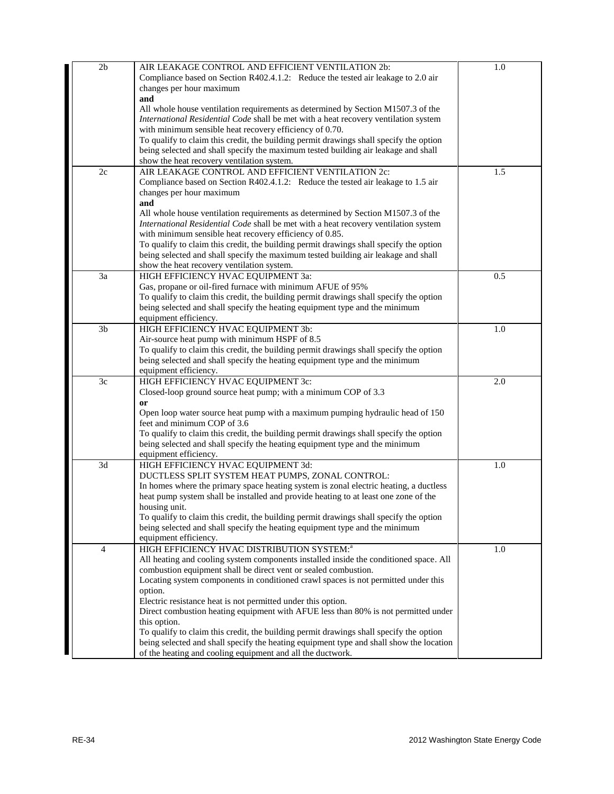| 2 <sub>b</sub> | AIR LEAKAGE CONTROL AND EFFICIENT VENTILATION 2b:                                       | 1.0 |
|----------------|-----------------------------------------------------------------------------------------|-----|
|                | Compliance based on Section R402.4.1.2: Reduce the tested air leakage to 2.0 air        |     |
|                | changes per hour maximum                                                                |     |
|                | and                                                                                     |     |
|                | All whole house ventilation requirements as determined by Section M1507.3 of the        |     |
|                |                                                                                         |     |
|                | International Residential Code shall be met with a heat recovery ventilation system     |     |
|                | with minimum sensible heat recovery efficiency of 0.70.                                 |     |
|                | To qualify to claim this credit, the building permit drawings shall specify the option  |     |
|                | being selected and shall specify the maximum tested building air leakage and shall      |     |
|                | show the heat recovery ventilation system.                                              |     |
| 2c             | AIR LEAKAGE CONTROL AND EFFICIENT VENTILATION 2c:                                       | 1.5 |
|                | Compliance based on Section R402.4.1.2: Reduce the tested air leakage to 1.5 air        |     |
|                | changes per hour maximum                                                                |     |
|                | and                                                                                     |     |
|                | All whole house ventilation requirements as determined by Section M1507.3 of the        |     |
|                | International Residential Code shall be met with a heat recovery ventilation system     |     |
|                | with minimum sensible heat recovery efficiency of 0.85.                                 |     |
|                | To qualify to claim this credit, the building permit drawings shall specify the option  |     |
|                |                                                                                         |     |
|                | being selected and shall specify the maximum tested building air leakage and shall      |     |
|                | show the heat recovery ventilation system.                                              |     |
| 3a             | HIGH EFFICIENCY HVAC EQUIPMENT 3a:                                                      | 0.5 |
|                | Gas, propane or oil-fired furnace with minimum AFUE of 95%                              |     |
|                | To qualify to claim this credit, the building permit drawings shall specify the option  |     |
|                | being selected and shall specify the heating equipment type and the minimum             |     |
|                | equipment efficiency.                                                                   |     |
| 3 <sub>b</sub> | HIGH EFFICIENCY HVAC EQUIPMENT 3b:                                                      | 1.0 |
|                | Air-source heat pump with minimum HSPF of 8.5                                           |     |
|                | To qualify to claim this credit, the building permit drawings shall specify the option  |     |
|                | being selected and shall specify the heating equipment type and the minimum             |     |
|                |                                                                                         |     |
|                | equipment efficiency.                                                                   |     |
| 3c             | HIGH EFFICIENCY HVAC EQUIPMENT 3c:                                                      | 2.0 |
|                | Closed-loop ground source heat pump; with a minimum COP of 3.3                          |     |
|                | or                                                                                      |     |
|                | Open loop water source heat pump with a maximum pumping hydraulic head of 150           |     |
|                | feet and minimum COP of 3.6                                                             |     |
|                | To qualify to claim this credit, the building permit drawings shall specify the option  |     |
|                | being selected and shall specify the heating equipment type and the minimum             |     |
|                | equipment efficiency.                                                                   |     |
| 3d             | HIGH EFFICIENCY HVAC EQUIPMENT 3d:                                                      | 1.0 |
|                | DUCTLESS SPLIT SYSTEM HEAT PUMPS, ZONAL CONTROL:                                        |     |
|                | In homes where the primary space heating system is zonal electric heating, a ductless   |     |
|                | heat pump system shall be installed and provide heating to at least one zone of the     |     |
|                | housing unit.                                                                           |     |
|                | To qualify to claim this credit, the building permit drawings shall specify the option  |     |
|                | being selected and shall specify the heating equipment type and the minimum             |     |
|                |                                                                                         |     |
|                | equipment efficiency.                                                                   |     |
| $\overline{4}$ | HIGH EFFICIENCY HVAC DISTRIBUTION SYSTEM: <sup>a</sup>                                  | 1.0 |
|                | All heating and cooling system components installed inside the conditioned space. All   |     |
|                | combustion equipment shall be direct vent or sealed combustion.                         |     |
|                | Locating system components in conditioned crawl spaces is not permitted under this      |     |
|                | option.                                                                                 |     |
|                | Electric resistance heat is not permitted under this option.                            |     |
|                | Direct combustion heating equipment with AFUE less than 80% is not permitted under      |     |
|                | this option.                                                                            |     |
|                | To qualify to claim this credit, the building permit drawings shall specify the option  |     |
|                | being selected and shall specify the heating equipment type and shall show the location |     |
|                |                                                                                         |     |
|                | of the heating and cooling equipment and all the ductwork.                              |     |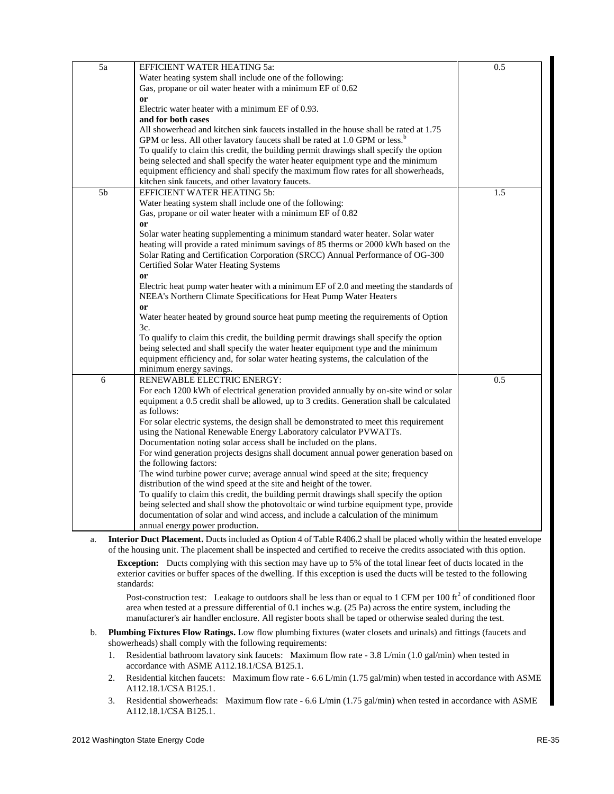| 5a | EFFICIENT WATER HEATING 5a:                                                                                                                                          | 0.5 |
|----|----------------------------------------------------------------------------------------------------------------------------------------------------------------------|-----|
|    | Water heating system shall include one of the following:                                                                                                             |     |
|    | Gas, propane or oil water heater with a minimum EF of 0.62                                                                                                           |     |
|    | or                                                                                                                                                                   |     |
|    | Electric water heater with a minimum EF of 0.93.                                                                                                                     |     |
|    | and for both cases                                                                                                                                                   |     |
|    | All showerhead and kitchen sink faucets installed in the house shall be rated at 1.75                                                                                |     |
|    | GPM or less. All other lavatory faucets shall be rated at 1.0 GPM or less. <sup>b</sup>                                                                              |     |
|    | To qualify to claim this credit, the building permit drawings shall specify the option                                                                               |     |
|    | being selected and shall specify the water heater equipment type and the minimum                                                                                     |     |
|    | equipment efficiency and shall specify the maximum flow rates for all showerheads,                                                                                   |     |
|    | kitchen sink faucets, and other lavatory faucets.                                                                                                                    |     |
| 5b | EFFICIENT WATER HEATING 5b:                                                                                                                                          | 1.5 |
|    | Water heating system shall include one of the following:                                                                                                             |     |
|    | Gas, propane or oil water heater with a minimum EF of 0.82                                                                                                           |     |
|    | or                                                                                                                                                                   |     |
|    | Solar water heating supplementing a minimum standard water heater. Solar water                                                                                       |     |
|    | heating will provide a rated minimum savings of 85 therms or 2000 kWh based on the<br>Solar Rating and Certification Corporation (SRCC) Annual Performance of OG-300 |     |
|    | Certified Solar Water Heating Systems                                                                                                                                |     |
|    | or                                                                                                                                                                   |     |
|    | Electric heat pump water heater with a minimum EF of 2.0 and meeting the standards of                                                                                |     |
|    | NEEA's Northern Climate Specifications for Heat Pump Water Heaters                                                                                                   |     |
|    | or                                                                                                                                                                   |     |
|    | Water heater heated by ground source heat pump meeting the requirements of Option                                                                                    |     |
|    | 3c.                                                                                                                                                                  |     |
|    | To qualify to claim this credit, the building permit drawings shall specify the option                                                                               |     |
|    | being selected and shall specify the water heater equipment type and the minimum                                                                                     |     |
|    | equipment efficiency and, for solar water heating systems, the calculation of the                                                                                    |     |
|    | minimum energy savings.                                                                                                                                              |     |
| 6  | RENEWABLE ELECTRIC ENERGY:                                                                                                                                           | 0.5 |
|    | For each 1200 kWh of electrical generation provided annually by on-site wind or solar                                                                                |     |
|    | equipment a 0.5 credit shall be allowed, up to 3 credits. Generation shall be calculated                                                                             |     |
|    | as follows:                                                                                                                                                          |     |
|    | For solar electric systems, the design shall be demonstrated to meet this requirement                                                                                |     |
|    | using the National Renewable Energy Laboratory calculator PVWATTs.                                                                                                   |     |
|    | Documentation noting solar access shall be included on the plans.                                                                                                    |     |
|    | For wind generation projects designs shall document annual power generation based on                                                                                 |     |
|    | the following factors:                                                                                                                                               |     |
|    | The wind turbine power curve; average annual wind speed at the site; frequency<br>distribution of the wind speed at the site and height of the tower.                |     |
|    | To qualify to claim this credit, the building permit drawings shall specify the option                                                                               |     |
|    | being selected and shall show the photovoltaic or wind turbine equipment type, provide                                                                               |     |
|    | documentation of solar and wind access, and include a calculation of the minimum                                                                                     |     |
|    | annual energy power production.                                                                                                                                      |     |
|    |                                                                                                                                                                      |     |

a. **Interior Duct Placement.** Ducts included as Option 4 of Table R406.2 shall be placed wholly within the heated envelope of the housing unit. The placement shall be inspected and certified to receive the credits associated with this option.

**Exception:** Ducts complying with this section may have up to 5% of the total linear feet of ducts located in the exterior cavities or buffer spaces of the dwelling. If this exception is used the ducts will be tested to the following standards:

Post-construction test: Leakage to outdoors shall be less than or equal to 1 CFM per 100 ft<sup>2</sup> of conditioned floor area when tested at a pressure differential of 0.1 inches w.g. (25 Pa) across the entire system, including the manufacturer's air handler enclosure. All register boots shall be taped or otherwise sealed during the test.

- b. **Plumbing Fixtures Flow Ratings.** Low flow plumbing fixtures (water closets and urinals) and fittings (faucets and showerheads) shall comply with the following requirements:
	- 1. Residential bathroom lavatory sink faucets: Maximum flow rate 3.8 L/min (1.0 gal/min) when tested in accordance with ASME A112.18.1/CSA B125.1.
	- 2. Residential kitchen faucets: Maximum flow rate 6.6 L/min (1.75 gal/min) when tested in accordance with ASME A112.18.1/CSA B125.1.
	- 3. Residential showerheads: Maximum flow rate 6.6 L/min (1.75 gal/min) when tested in accordance with ASME A112.18.1/CSA B125.1.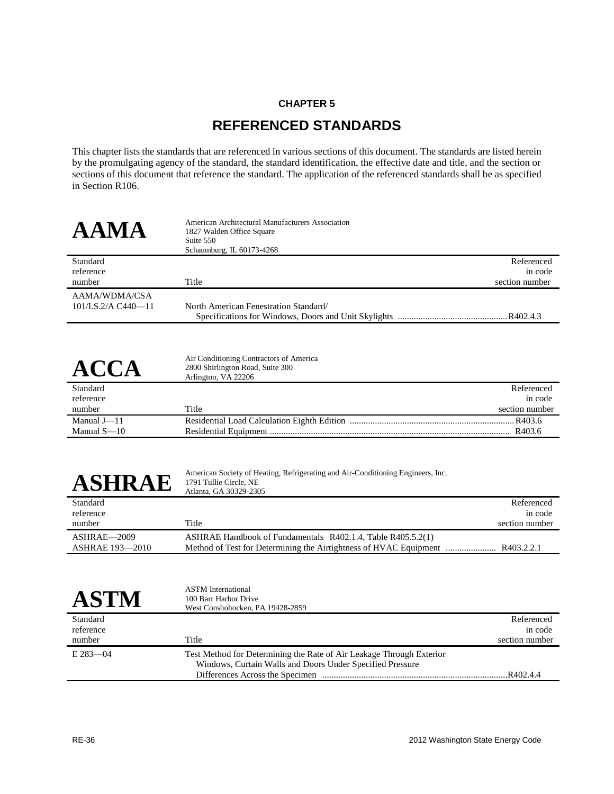# **CHAPTER 5**

# **REFERENCED STANDARDS**

This chapter lists the standards that are referenced in various sections of this document. The standards are listed herein by the promulgating agency of the standard, the standard identification, the effective date and title, and the section or sections of this document that reference the standard. The application of the referenced standards shall be as specified in Section R106.

| <b>AAMA</b>                          | American Architectural Manufacturers Association<br>1827 Walden Office Square<br>Suite 550<br>Schaumburg, IL 60173-4268             |                                         |
|--------------------------------------|-------------------------------------------------------------------------------------------------------------------------------------|-----------------------------------------|
| Standard<br>reference<br>number      | Title                                                                                                                               | Referenced<br>in code<br>section number |
| AAMA/WDMA/CSA<br>101/I.S.2/A C440-11 | North American Fenestration Standard/                                                                                               |                                         |
| <b>ACCA</b>                          | Air Conditioning Contractors of America<br>2800 Shirlington Road, Suite 300<br>Arlington, VA 22206                                  |                                         |
| Standard<br>reference<br>number      | Title                                                                                                                               | Referenced<br>in code<br>section number |
| Manual $J$ —11<br>Manual $S$ —10     |                                                                                                                                     | R403.6                                  |
| <b>ASHRAE</b>                        | American Society of Heating, Refrigerating and Air-Conditioning Engineers, Inc.<br>1791 Tullie Circle, NE<br>Atlanta, GA 30329-2305 |                                         |

| Standard<br>reference<br>Title<br>number<br>ASHRAE Handbook of Fundamentals R402.1.4, Table R405.5.2(1)<br>ASHRAE-2009 | <i>L</i> AU LLAN AL    | Atlanta, GA 30329-2305 |                |
|------------------------------------------------------------------------------------------------------------------------|------------------------|------------------------|----------------|
|                                                                                                                        |                        |                        | Referenced     |
|                                                                                                                        |                        |                        | in code        |
|                                                                                                                        |                        |                        | section number |
|                                                                                                                        |                        |                        |                |
|                                                                                                                        | <b>ASHRAE 193-2010</b> |                        |                |

| ASTM       | <b>ASTM</b> International<br>100 Barr Harbor Drive<br>West Conshohocken, PA 19428-2859 |                |
|------------|----------------------------------------------------------------------------------------|----------------|
| Standard   |                                                                                        | Referenced     |
| reference  |                                                                                        | in code        |
| number     | Title                                                                                  | section number |
| $E$ 283-04 | Test Method for Determining the Rate of Air Leakage Through Exterior                   |                |
|            | Windows, Curtain Walls and Doors Under Specified Pressure                              |                |
|            |                                                                                        | R402.4.4       |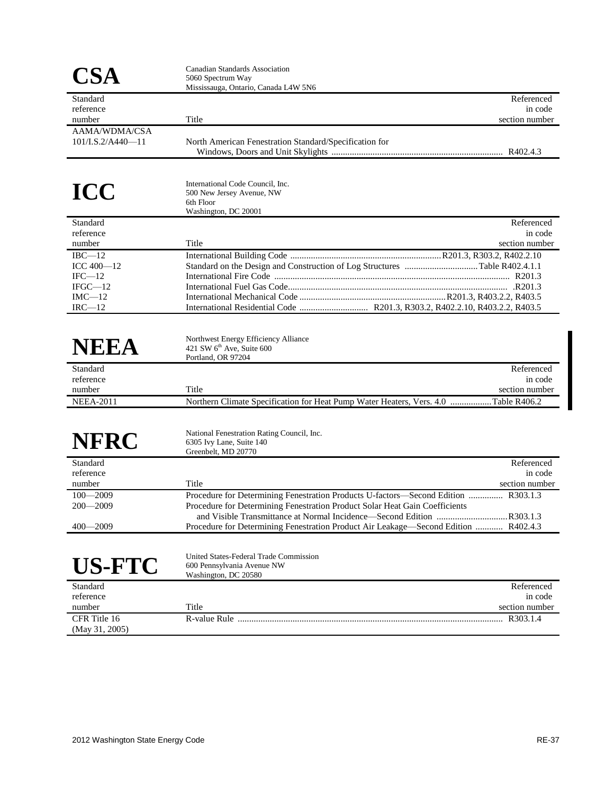|                      | <b>Canadian Standards Association</b><br>5060 Spectrum Way<br>Mississauga, Ontario, Canada L4W 5N6  |                |
|----------------------|-----------------------------------------------------------------------------------------------------|----------------|
| Standard             |                                                                                                     | Referenced     |
| reference            |                                                                                                     | in code        |
| number               | Title                                                                                               | section number |
| AAMA/WDMA/CSA        |                                                                                                     |                |
| $101$ /I.S.2/A440-11 | North American Fenestration Standard/Specification for                                              |                |
|                      |                                                                                                     |                |
|                      |                                                                                                     |                |
|                      | International Code Council, Inc.                                                                    |                |
| <b>ICC</b>           | 500 New Jersey Avenue, NW                                                                           |                |
|                      | 6th Floor                                                                                           |                |
|                      | Washington, DC 20001                                                                                |                |
| Standard             |                                                                                                     | Referenced     |
| reference            |                                                                                                     | in code        |
| number               | Title                                                                                               | section number |
| $IBC-12$             |                                                                                                     |                |
| $ICC 400 - 12$       |                                                                                                     |                |
| $IFC-12$             |                                                                                                     |                |
| $IFGC-12$            |                                                                                                     |                |
| $IMC-12$             |                                                                                                     |                |
| $IRC-12$             |                                                                                                     |                |
|                      |                                                                                                     |                |
| <b>NEEA</b>          | Northwest Energy Efficiency Alliance<br>421 SW 6 <sup>th</sup> Ave, Suite 600<br>Portland, OR 97204 |                |
| Standard             |                                                                                                     | Referenced     |
| reference            |                                                                                                     | in code        |
| number               | Title                                                                                               | section number |
| <b>NEEA-2011</b>     | Northern Climate Specification for Heat Pump Water Heaters, Vers. 4.0 Table R406.2                  |                |
|                      |                                                                                                     |                |
| <b>NFRC</b>          | National Fenestration Rating Council, Inc.<br>6305 Ivy Lane, Suite 140                              |                |
|                      | Greenbelt, MD 20770                                                                                 |                |
| Standard             |                                                                                                     | Referenced     |
| reference            |                                                                                                     | in code        |
| number               | Title                                                                                               | section number |
| $100 - 2009$         | Procedure for Determining Fenestration Products U-factors—Second Edition  R303.1.3                  |                |
| $200 - 2009$         | Procedure for Determining Fenestration Product Solar Heat Gain Coefficients                         |                |
|                      | and Visible Transmittance at Normal Incidence—Second Edition R303.1.3                               |                |
| $400 - 2009$         | Procedure for Determining Fenestration Product Air Leakage—Second Edition  R402.4.3                 |                |
|                      |                                                                                                     |                |
|                      | United States-Federal Trade Commission                                                              |                |
| <b>US-FTC</b>        | 600 Pennsylvania Avenue NW                                                                          |                |
|                      | Washington, DC 20580                                                                                |                |
| Standard             |                                                                                                     | Referenced     |
| reference            |                                                                                                     | in code        |
| number               | Title                                                                                               | section number |
| CFR Title 16         |                                                                                                     |                |
| (May 31, 2005)       |                                                                                                     |                |

Г

I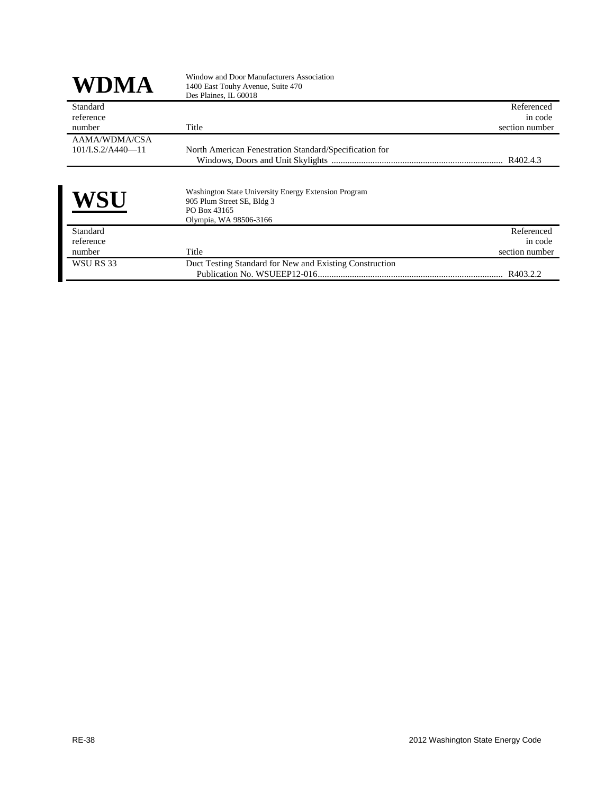| <b>WDMA</b>         | Window and Door Manufacturers Association<br>1400 East Touhy Avenue, Suite 470<br>Des Plaines, IL 60018                      |                |
|---------------------|------------------------------------------------------------------------------------------------------------------------------|----------------|
| Standard            |                                                                                                                              | Referenced     |
| reference           |                                                                                                                              | in code        |
| number              | Title                                                                                                                        | section number |
| AAMA/WDMA/CSA       |                                                                                                                              |                |
| $101$ /LS.2/A440-11 | North American Fenestration Standard/Specification for                                                                       |                |
|                     |                                                                                                                              |                |
| WSU                 | Washington State University Energy Extension Program<br>905 Plum Street SE, Bldg 3<br>PO Box 43165<br>Olympia, WA 98506-3166 |                |
| Standard            |                                                                                                                              | Referenced     |
| reference           |                                                                                                                              | in code        |
| number              | Title                                                                                                                        | section number |
| WSU RS 33           | Duct Testing Standard for New and Existing Construction                                                                      |                |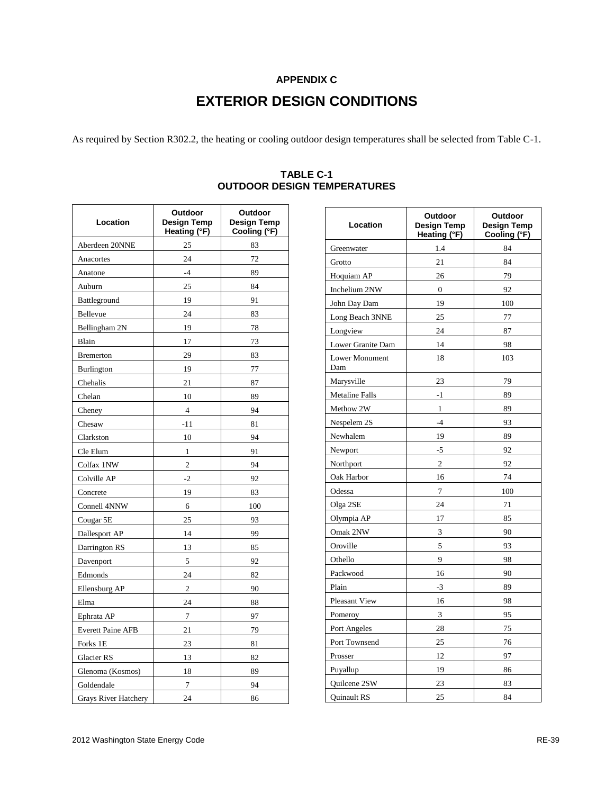# **APPENDIX C**

# **EXTERIOR DESIGN CONDITIONS**

As required by Section R302.2, the heating or cooling outdoor design temperatures shall be selected from Table C-1.

| Location                 | Outdoor<br><b>Design Temp</b><br>Heating (°F) | Outdoor<br><b>Design Temp</b><br>Cooling (°F) |
|--------------------------|-----------------------------------------------|-----------------------------------------------|
| Aberdeen 20NNE           | 25                                            | 83                                            |
| Anacortes                | 24                                            | 72                                            |
| Anatone                  | $-4$                                          | 89                                            |
| Auburn                   | 25                                            | 84                                            |
| Battleground             | 19                                            | 91                                            |
| Bellevue                 | 24                                            | 83                                            |
| Bellingham 2N            | 19                                            | 78                                            |
| Blain                    | 17                                            | 73                                            |
| <b>Bremerton</b>         | 29                                            | 83                                            |
| <b>Burlington</b>        | 19                                            | 77                                            |
| Chehalis                 | 21                                            | 87                                            |
| Chelan                   | 10                                            | 89                                            |
| Cheney                   | $\overline{4}$                                | 94                                            |
| Chesaw                   | $-11$                                         | 81                                            |
| Clarkston                | 10                                            | 94                                            |
| Cle Elum                 | 1                                             | 91                                            |
| Colfax 1NW               | $\overline{c}$                                | 94                                            |
| Colville AP              | $-2$                                          | 92                                            |
| Concrete                 | 19                                            | 83                                            |
| Connell 4NNW             | 6                                             | 100                                           |
| Cougar 5E                | 25                                            | 93                                            |
| Dallesport AP            | 14                                            | 99                                            |
| Darrington RS            | 13                                            | 85                                            |
| Davenport                | 5                                             | 92                                            |
| Edmonds                  | 24                                            | 82                                            |
| Ellensburg AP            | $\overline{2}$                                | 90                                            |
| Elma                     | 24                                            | 88                                            |
| Ephrata <sub>AP</sub>    | 7                                             | 97                                            |
| <b>Everett Paine AFB</b> | 21                                            | 79                                            |
| Forks 1E                 | 23                                            | 81                                            |
| Glacier RS               | 13                                            | 82                                            |
| Glenoma (Kosmos)         | 18                                            | 89                                            |
| Goldendale               | $\overline{7}$                                | 94                                            |
| Grays River Hatchery     | 24                                            | 86                                            |

# **TABLE C-1 OUTDOOR DESIGN TEMPERATURES**

| Location                     | Outdoor<br><b>Design Temp</b><br>Heating (°F) | Outdoor<br>Design Temp<br>Cooling (°F) |
|------------------------------|-----------------------------------------------|----------------------------------------|
| Greenwater                   | 1.4                                           | 84                                     |
| Grotto                       | 21                                            | 84                                     |
| Hoquiam AP                   | 26                                            | 79                                     |
| Inchelium 2NW                | $\boldsymbol{0}$                              | 92                                     |
| John Day Dam                 | 19                                            | 100                                    |
| Long Beach 3NNE              | 25                                            | 77                                     |
| Longview                     | 24                                            | 87                                     |
| Lower Granite Dam            | 14                                            | 98                                     |
| <b>Lower Monument</b><br>Dam | 18                                            | 103                                    |
| Marysville                   | 23                                            | 79                                     |
| <b>Metaline Falls</b>        | $-1$                                          | 89                                     |
| Methow 2W                    | 1                                             | 89                                     |
| Nespelem 2S                  | $-4$                                          | 93                                     |
| Newhalem                     | 19                                            | 89                                     |
| Newport                      | $-5$                                          | 92                                     |
| Northport                    | $\overline{2}$                                | 92                                     |
| Oak Harbor                   | 16                                            | 74                                     |
| Odessa                       | 7                                             | 100                                    |
| Olga 2SE                     | 24                                            | 71                                     |
| Olympia AP                   | 17                                            | 85                                     |
| Omak 2NW                     | 3                                             | 90                                     |
| Oroville                     | 5                                             | 93                                     |
| Othello                      | 9                                             | 98                                     |
| Packwood                     | 16                                            | 90                                     |
| Plain                        | $-3$                                          | 89                                     |
| Pleasant View                | 16                                            | 98                                     |
| Pomeroy                      | 3                                             | 95                                     |
| Port Angeles                 | 28                                            | 75                                     |
| Port Townsend                | 25                                            | 76                                     |
| Prosser                      | 12                                            | 97                                     |
| Puyallup                     | 19                                            | 86                                     |
| Quilcene 2SW                 | 23                                            | 83                                     |
| Quinault RS                  | 25                                            | 84                                     |